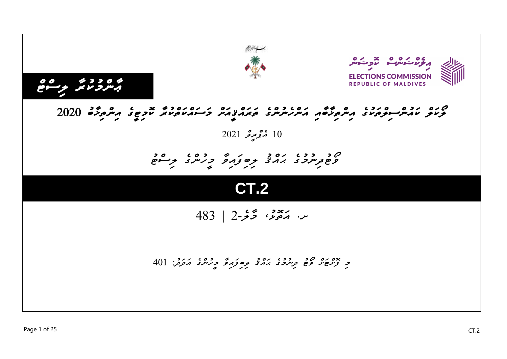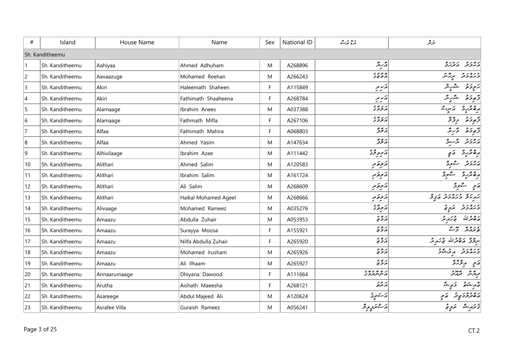| #                | Island          | House Name    | Name                 | Sex       | National ID | ، ه ، ره<br>مر، مر            | ىئرىتر                                           |
|------------------|-----------------|---------------|----------------------|-----------|-------------|-------------------------------|--------------------------------------------------|
|                  | Sh. Kanditheemu |               |                      |           |             |                               |                                                  |
|                  | Sh. Kanditheemu | Aahiyaa       | Ahmed Adhuham        | ${\sf M}$ | A268896     | رمسر پر                       | ەردەرە<br>  پر ه پر و<br>  پر پر <del>و</del> تر |
| $\overline{c}$   | Sh. Kanditheemu | Aavaazuge     | Mohamed Reehan       | M         | A266243     | ۶ ۶ ۶ ۶<br>د څننۍ ي           | و ره ر و<br><i>و ټ</i> رو تر<br>بررميشر          |
| $\overline{3}$   | Sh. Kanditheemu | Akiri         | Haleemath Shaheen    | F         | A115849     | وزیر سر                       | برويره<br>ىشترىتىر                               |
| 4                | Sh. Kanditheemu | Akiri         | Fathimath Shaaheena  | F         | A268784     | وزیر سر                       | و مر د<br>تر موح <sup>م</sup>                    |
| 5                | Sh. Kanditheemu | Alamaage      | Ibrahim Anees        | M         | A037388     | ر ر » ><br>پرنوبری            | برە ئرىر ۋ                                       |
| $\sqrt{6}$       | Sh. Kanditheemu | Alamaage      | Fathmath Mifla       | F         | A267106     | پر پر پر                      | ا تقریر در<br>اگر جو حرمی<br>جروعى               |
| $\overline{7}$   | Sh. Kanditheemu | Alfaa         | Fathimath Mahira     | F         | A068803     | برویژ                         | ا توجو څخه<br>ژ ر بز                             |
| 8                | Sh. Kanditheemu | Alfaa         | Ahmed Yasim          | ${\sf M}$ | A147634     | پروژ                          | بر ہ بر ج<br>م <i>رکز فر</i><br>ېژىسەۋ           |
| $\boldsymbol{9}$ | Sh. Kanditheemu | Alhivilaage   | Ibrahim Azee         | ${\sf M}$ | A111442     | د د و ژی<br>د د               | رە ئەر ئە                                        |
| 10               | Sh. Kanditheemu | Alithari      | Ahmed Salim          | ${\sf M}$ | A120583     | وكمتوحوسر                     | رەرو ئىرو                                        |
| 11               | Sh. Kanditheemu | Alithari      | Ibrahim Salim        | ${\sf M}$ | A161724     | وكمتوحوسر                     | ستمعرو<br>ەر ھەترىر <i>3</i>                     |
| 12               | Sh. Kanditheemu | Alithari      | Ali Salim            | M         | A268609     | وكمعرضو                       | أريمو الشعرو                                     |
| 13               | Sh. Kanditheemu | Alithari      | Haikal Mohamed Ageel | ${\sf M}$ | A268666     | وكمعرض                        | برره دره در درو                                  |
| 14               | Sh. Kanditheemu | Alivaage      | Mohamed Rameez       | ${\sf M}$ | A035276     | پروژه                         | ورەرو پروپخ                                      |
| 15               | Sh. Kanditheemu | Amaazu        | Abdulla Zuhair       | ${\sf M}$ | A053953     | ەردى                          | <mark>بر25</mark> مرالله<br>ىچ ئەمە ئىر          |
| 16               | Sh. Kanditheemu | Amaazu        | Surayya Moosa        | F         | A155921     | پر پیچ<br>  پر پی             | وره و در م                                       |
| 17               | Sh. Kanditheemu | Amaazu        | Nilfa Abdulla Zuhair | F         | A265920     | ەردى                          | سرعرقر وكافترالله بم ترمر بتر                    |
| 18               | Sh. Kanditheemu | Amaazu        | Mohamed Irusham      | ${\sf M}$ | A265926     | ریخ ح                         | כממכנה היבייבי                                   |
| 19               | Sh. Kanditheemu | Amaazu        | Ali Ilhaam           | M         | A265927     | پر بو و<br>  پر پی            | ړي د در                                          |
| 20               | Sh. Kanditheemu | Annaarumaage  | Dhiyana Dawood       | F         | A111664     | ر ه و و و و<br>د سرسرپرو د    | و پر پر دو در در در بر<br>مربر ش                 |
| 21               | Sh. Kanditheemu | Arutha        | Aishath Maeesha      | F         | A268121     | ەر بەر                        | أأمر شكافه المتحامي والمستكر                     |
| 22               | Sh. Kanditheemu | Asareege      | Abdul Majeed Ali     | M         | A120624     | ېر کے بیری<br>په              |                                                  |
| 23               | Sh. Kanditheemu | Asrafee Villa | Guraish Rameez       | M         | A056241     | ىز شەنئەر <sub>ى</sub> بەر ئى | ويمرمث يمردح                                     |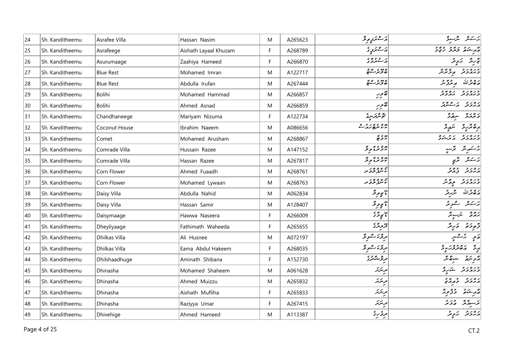| 24 | Sh. Kanditheemu | Asrafee Villa    | Hassan Nasim          | M         | A265623 | رَ سْء بَرَوٍ ءِ تَرَ                               | ىز سەنلار سۇسىدۇ                                                                                                                                                                                                                                                                                                                                                                                               |
|----|-----------------|------------------|-----------------------|-----------|---------|-----------------------------------------------------|----------------------------------------------------------------------------------------------------------------------------------------------------------------------------------------------------------------------------------------------------------------------------------------------------------------------------------------------------------------------------------------------------------------|
| 25 | Sh. Kanditheemu | Asrafeege        | Aishath Layaal Khuzam | F.        | A268789 | ئەس <sup>ى</sup> دىرىي ئە                           | أورشتم تواريح ومجاو                                                                                                                                                                                                                                                                                                                                                                                            |
| 26 | Sh. Kanditheemu | Asurumaage       | Zaahiya Hameed        | F.        | A266870 | ەسىدى                                               | پچ په تر پر په د                                                                                                                                                                                                                                                                                                                                                                                               |
| 27 | Sh. Kanditheemu | <b>Blue Rest</b> | Mohamed Imran         | M         | A122717 | ە دور دەھ<br>ھىرىرىسى                               | ەر ئەمەر<br>و رە ر د<br><i>د بە</i> پەر                                                                                                                                                                                                                                                                                                                                                                        |
| 28 | Sh. Kanditheemu | <b>Blue Rest</b> | Abdulla Irufan        | M         | A267444 | ە دو ۽ مەھ                                          | برە قراللە بەيرترىتر                                                                                                                                                                                                                                                                                                                                                                                           |
| 29 | Sh. Kanditheemu | <b>Bolihi</b>    | Mohamed Hammad        | M         | A266857 | پور<br>حور                                          | ورەرو رەپەر<br><i>جەم</i> چىر بەمچىر                                                                                                                                                                                                                                                                                                                                                                           |
| 30 | Sh. Kanditheemu | <b>Bolihi</b>    | Ahmed Asnad           | M         | A266859 | پنجور<br>مر                                         | رەرد رەپر                                                                                                                                                                                                                                                                                                                                                                                                      |
| 31 | Sh. Kanditheemu | Chandhaneege     | Mariyam Nizuma        | F         | A122734 | سر<br>ئۇسرىرىس <sub>ى</sub>                         | و دره سردو                                                                                                                                                                                                                                                                                                                                                                                                     |
| 32 | Sh. Kanditheemu | Coconut House    | Ibrahim Naeem         | M         | A086656 |                                                     |                                                                                                                                                                                                                                                                                                                                                                                                                |
| 33 | Sh. Kanditheemu | Comet            | Mohamed Arusham       | M         | A268867 | بری<br>روم                                          | $\begin{array}{@{}c@{\hspace{1em}}c@{\hspace{1em}}c@{\hspace{1em}}c@{\hspace{1em}}c@{\hspace{1em}}c@{\hspace{1em}}c@{\hspace{1em}}c@{\hspace{1em}}c@{\hspace{1em}}c@{\hspace{1em}}c@{\hspace{1em}}c@{\hspace{1em}}c@{\hspace{1em}}c@{\hspace{1em}}c@{\hspace{1em}}c@{\hspace{1em}}c@{\hspace{1em}}c@{\hspace{1em}}c@{\hspace{1em}}c@{\hspace{1em}}c@{\hspace{1em}}c@{\hspace{1em}}c@{\hspace{1em}}c@{\hspace{$ |
| 34 | Sh. Kanditheemu | Comrade Villa    | Hussain Razee         | M         | A147152 | بره ، ه ه و څه<br>پان د برغ حدگ                     | يز سکهر ملک مگر سو                                                                                                                                                                                                                                                                                                                                                                                             |
| 35 | Sh. Kanditheemu | Comrade Villa    | Hassan Razee          | M         | A267817 | پره ی ه و محه                                       | برُسكىش برمَّي                                                                                                                                                                                                                                                                                                                                                                                                 |
| 36 | Sh. Kanditheemu | Corn Flower      | Ahmed Fuaadh          | M         | A268761 | ە مەم بۇ ئەر<br>ئاس ئەرگەن ئىر                      | بره بروا و دور                                                                                                                                                                                                                                                                                                                                                                                                 |
| 37 | Sh. Kanditheemu | Corn Flower      | Mohamed Lywaan        | M         | A268763 | ە مەمۇرىيە<br>ئاسلامۇھ بىر                          | و ر ه ر د<br>تر بر بر تر<br>موِءَ سُر                                                                                                                                                                                                                                                                                                                                                                          |
| 38 | Sh. Kanditheemu | Daisy Villa      | Abdulla Nahid         | M         | A062834 | "ې په عرقر                                          | ىترىر تىر<br>ەھىراللە                                                                                                                                                                                                                                                                                                                                                                                          |
| 39 | Sh. Kanditheemu | Daisy Villa      | Hassan Samir          | ${\sf M}$ | A128407 | مې مومځه<br>م                                       | ىرىكىش سەئىر بۇ                                                                                                                                                                                                                                                                                                                                                                                                |
| 40 | Sh. Kanditheemu | Daisymaage       | Hawwa Naseera         | F         | A266009 | )<br>پانتې پر تر <sub>ک</sub>                       | برە ئەستىب ئىشتىدىگە                                                                                                                                                                                                                                                                                                                                                                                           |
| 41 | Sh. Kanditheemu | Dheyliyaage      | Fathimath Waheeda     | F.        | A265655 | ر<br>تر پر پر پر                                    | ۇ بوز <sub>ە</sub><br>ءَ ٻريٽر                                                                                                                                                                                                                                                                                                                                                                                 |
| 42 | Sh. Kanditheemu | Dhilkas Villa    | Ali Husnee            | M         | A072197 | <sub>مر</sub> وبر <sub>شور</sub> وً                 | ر<br>مۇسى بەر مەسىر                                                                                                                                                                                                                                                                                                                                                                                            |
| 43 | Sh. Kanditheemu | Dhilkas Villa    | Eama Abdul Hakeem     | F.        | A268035 | مرىۋ كەشموقە                                        |                                                                                                                                                                                                                                                                                                                                                                                                                |
| 44 | Sh. Kanditheemu | Dhilshaadhuge    | Aminath Shibana       | F         | A152730 | تر تو شه و <sup>ج</sup><br>تر تو شه تر <sub>ک</sub> | أأد سكة سنوقة مكر                                                                                                                                                                                                                                                                                                                                                                                              |
| 45 | Sh. Kanditheemu | Dhinasha         | Mohamed Shaheem       | M         | A061628 | ورسرتر                                              | ورەر دىرو                                                                                                                                                                                                                                                                                                                                                                                                      |
| 46 | Sh. Kanditheemu | Dhinasha         | Ahmed Muizzu          | M         | A265832 | ورسكر                                               | גפגב בההב                                                                                                                                                                                                                                                                                                                                                                                                      |
| 47 | Sh. Kanditheemu | Dhinasha         | Aishath Mufliha       | F         | A265833 | ومترتز                                              | ە ئەستىم دۇمەر                                                                                                                                                                                                                                                                                                                                                                                                 |
| 48 | Sh. Kanditheemu | Dhinasha         | Raziyya Umar          | F         | A267415 | ويتزيز                                              |                                                                                                                                                                                                                                                                                                                                                                                                                |
| 49 | Sh. Kanditheemu | Dhivehige        | Ahmed Hameed          | M         | A113387 | ىرغەرى<br>مەم                                       | رەر بەر                                                                                                                                                                                                                                                                                                                                                                                                        |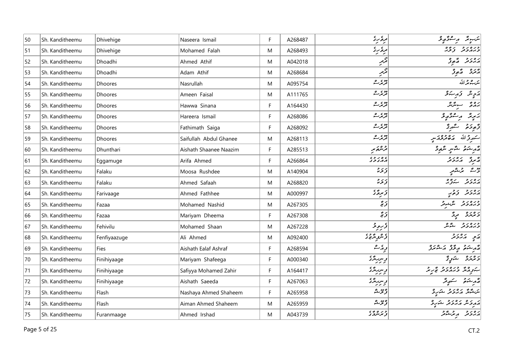| 50 | Sh. Kanditheemu | Dhivehige      | Naseera Ismail         | F         | A268487 | مرځ سرځ                                        | سَيَبِيسُ بِرِ سِنْ دَيْرِ مِنْ                                      |
|----|-----------------|----------------|------------------------|-----------|---------|------------------------------------------------|----------------------------------------------------------------------|
| 51 | Sh. Kanditheemu | Dhivehige      | Mohamed Falah          | M         | A268493 | و ء<br>توره مرد                                | وره روه دره و                                                        |
| 52 | Sh. Kanditheemu | Dhoadhi        | Ahmed Athif            | ${\sf M}$ | A042018 | ە<br>قىرقىر                                    | أرەر دەر ئە                                                          |
| 53 | Sh. Kanditheemu | Dhoadhi        | Adam Athif             | M         | A268684 | اقدمر<br>-                                     | دره د و                                                              |
| 54 | Sh. Kanditheemu | <b>Dhoores</b> | Nasrullah              | ${\sf M}$ | A095754 | ود ۽ ه                                         | بتربه بحرالله                                                        |
| 55 | Sh. Kanditheemu | <b>Dhoores</b> | Ameen Faisal           | M         | A111765 | ود ۽ ه                                         | أتزيرها التمريني                                                     |
| 56 | Sh. Kanditheemu | <b>Dhoores</b> | Hawwa Sinana           | F         | A164430 | ود ۽ ه                                         |                                                                      |
| 57 | Sh. Kanditheemu | <b>Dhoores</b> | Hareera Ismail         | F         | A268086 | ود ۽ ه<br>تريمر ڪ                              |                                                                      |
| 58 | Sh. Kanditheemu | <b>Dhoores</b> | Fathimath Saiga        | F         | A268092 | ود ۽ ه                                         | و ده شهروً                                                           |
| 59 | Sh. Kanditheemu | <b>Dhoores</b> | Saifullah Abdul Ghanee | M         | A268113 | ود ۽ ه                                         | <i>حموق</i> الله مەھىر دۇس                                           |
| 60 | Sh. Kanditheemu | Dhunthari      | Aishath Shaanee Naazim | F         | A285513 | قرىثرىموسبە                                    | و<br>مەرشۇم شۇس سىبرى                                                |
| 61 | Sh. Kanditheemu | Eggamuge       | Arifa Ahmed            | F         | A266864 | 55599                                          | ړ پرور د                                                             |
| 62 | Sh. Kanditheemu | Falaku         | Moosa Rushdee          | ${\sf M}$ | A140904 | ترتزر                                          | ورمج بمرشور                                                          |
| 63 | Sh. Kanditheemu | Falaku         | Ahmed Safaah           | M         | A268820 | ۇئە                                            | رەرد روە                                                             |
| 64 | Sh. Kanditheemu | Farivaage      | Ahmed Fathhee          | M         | A000997 | تر برگ <sup>ر</sup> ی<br>تر برگ <sup>ر</sup> ی | أرور و د و به                                                        |
| 65 | Sh. Kanditheemu | Fazaa          | Mohamed Nashid         | ${\sf M}$ | A267305 | ترتج                                           | ورەرو شەد                                                            |
| 66 | Sh. Kanditheemu | Fazaa          | Mariyam Dheema         | F         | A267308 | ترتج                                           | ترەپرە ئېرگ                                                          |
| 67 | Sh. Kanditheemu | Fehivilu       | Mohamed Shaan          | M         | A267228 | ۇروڭر                                          | ورەر دەر                                                             |
| 68 | Sh. Kanditheemu | Fenfiyaazuge   | Ali Ahmed              | ${\sf M}$ | A092400 | ې شو پر دې<br>ز شو پر پي د                     | أقدم المردور                                                         |
| 69 | Sh. Kanditheemu | <b>Fies</b>    | Aishath Ealaf Ashraf   | F         | A268594 | و پر م                                         | و مشتره برگرف برگوین<br>برای شره برگرف برگوین<br>برای برگرفت برگوینی |
| 70 | Sh. Kanditheemu | Finihiyaage    | Mariyam Shafeega       | F         | A000340 | او مدر دیم<br><u>اس</u> ر مرد                  |                                                                      |
| 71 | Sh. Kanditheemu | Finihiyaage    | Safiyya Mohamed Zahir  | F         | A164417 | و سربر پر <sup>ہ</sup><br>تر بربر              | א פי כנסגב בית                                                       |
| 72 | Sh. Kanditheemu | Finihiyaage    | Aishath Saeeda         | F         | A267063 | و سربر پژی<br>زیر بر                           | أأرشكم المستهيف                                                      |
| 73 | Sh. Kanditheemu | Flash          | Nashaya Ahmed Shaheem  | F         | A265958 | ويجيده                                         |                                                                      |
| 74 | Sh. Kanditheemu | Flash          | Aiman Ahmed Shaheem    | M         | A265959 | وی یہ                                          | أتهرى مرورو لتكرو                                                    |
| 75 | Sh. Kanditheemu | Furanmaage     | Ahmed Irshad           | M         | A043739 | د ر ه و ،<br>ز بر مرد د                        | أرور وترشيع                                                          |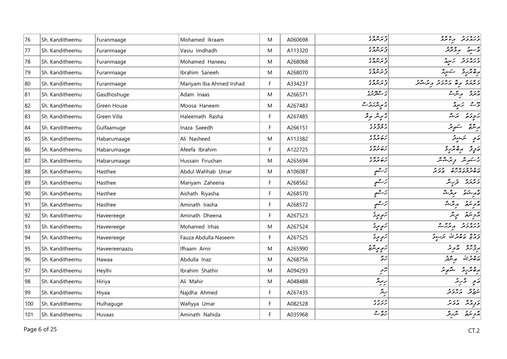| 76           | Sh. Kanditheemu | Furanmaage    | Mohamed Ikraam           | M  | A060698 | د بر ۵ پر پر<br>  ز بر مرد بر         | כנסנכ השיבם                                        |
|--------------|-----------------|---------------|--------------------------|----|---------|---------------------------------------|----------------------------------------------------|
| 77           | Sh. Kanditheemu | Furanmaage    | Vasiu Imdhadh            | M  | A113320 | و ر ه و »<br>تو بر سرچ ی              | ەردىرىر<br>  قۇسىزەر                               |
| 78           | Sh. Kanditheemu | Furanmaage    | Mohamed Haneeu           | M  | A268068 | و ر ه و »<br>تو بر سرچ ی              | כגבבב ביעל                                         |
| 79           | Sh. Kanditheemu | Furanmaage    | Ibrahim Saneeh           | M  | A268070 | و ر ه و »<br>تو بر سرچ د              | سەسرىر<br>ەرھەترىر <sup>ى</sup>                    |
| 80           | Sh. Kanditheemu | Furanmaage    | Mariyam Iba Ahmed Irshad | F  | A334237 | و ر ه و »<br>تو <del>ب</del> ر سرچ ی  | נים המוכל המוכל היו ביבוד.<br>כמוקר הם המכל המשינה |
| 81           | Sh. Kanditheemu | Gasdhoshuge   | Adam Inaas               | M  | A266571 | ر ره پر و ،<br>کاسسوتر ری             | پر پہ مگرے                                         |
| 82           | Sh. Kanditheemu | Green House   | Moosa Haneem             | M  | A267483 | ج پر پ <i>ر پر چ</i><br>کالیم پر پر چ | روم ئەربۇ                                          |
| 83           | Sh. Kanditheemu | Green Villa   | Haleemath Rasha          | F  | A267485 | د سپه عربه عربهٔ<br>                  | بروزة بركة                                         |
| 84           | Sh. Kanditheemu | Gulfaamuge    | Inaza Saeedh             | F. | A266151 | د ه و د د ،<br>د ترتر تر د            | سەمەتىر                                            |
| 85           | Sh. Kanditheemu | Habarumaage   | Ali Nasheed              | M  | A113382 | ر ر د » ،<br>ره برو د                 |                                                    |
| 86           | Sh. Kanditheemu | Habarumaage   | Afeefa Ibrahim           | F  | A122725 | ر ر د » ،<br>ره برو د                 | ەردۇ<br>دە ئەرد                                    |
| 87           | Sh. Kanditheemu | Habarumaage   | Hussain Firushan         | M  | A265694 | ر ر د » ،<br>ره برو د                 | برسكرش وبرحقش                                      |
| 88           | Sh. Kanditheemu | Hasthee       | Abdul Wahhab Umar        | M  | A106087 | ئر ش <sub>ھو</sub>                    | נס כסנסים בנב<br>השניקפתים הכינ                    |
| 89           | Sh. Kanditheemu | Hasthee       | Mariyam Zaheena          | F  | A268562 | ئەشقىچ                                | رەرە ئەرش                                          |
| $ 90\rangle$ | Sh. Kanditheemu | Hasthee       | Aishath Riyasha          | F  | A268570 | ئەشقىچ                                | أقدم شكوم المرتكز                                  |
| 91           | Sh. Kanditheemu | Hasthee       | Aminath Irasha           | F  | A268572 | ئر شو.                                | أأدبتهم وبتنشأ                                     |
| 92           | Sh. Kanditheemu | Haveereege    | Aminath Dheena           | F  | A267523 | ر<br>سره مور                          | أأترج تمريتر                                       |
| 93           | Sh. Kanditheemu | Haveereege    | Mohamed Irhas            | M  | A267524 | ر<br>سره میورد                        | כנים ני ביבים                                      |
| 94           | Sh. Kanditheemu | Haveereege    | Fauza Abdulla Naseem     | F. | A267525 | ر<br>سره موړي<br>سره                  | ترويج وره وزالله تترسور                            |
| 95           | Sh. Kanditheemu | Haveereenaazu | Ifhaam Amir              | M  | A265990 | ئەھ بىر يېڭى<br>  ئەسىر يېڭىنى        | ووثرق الأحرار                                      |
| 96           | Sh. Kanditheemu | Hawaa         | Abdulla Inaz             | M  | A268756 | رپچ                                   | ەھىراللە<br>ەر سۇر                                 |
| 97           | Sh. Kanditheemu | Heylhi        | Ibrahim Shathir          | M  | A094293 | ار<br>سر<br>—                         | مشتجو تتر<br>ەر ھەترىر <i>3</i>                    |
| 98           | Sh. Kanditheemu | Hiriya        | Ali Mahir                | M  | A048488 | رىرىژ                                 | $\frac{2}{3}$ $\frac{2}{3}$                        |
| 99           | Sh. Kanditheemu | Hiyaa         | Najdha Ahmed             | F  | A267435 | رېژ                                   | سرچ تر<br>ەر دەر                                   |
| 100          | Sh. Kanditheemu | Hulhaguge     | Wafiyya Umar             | F. | A082528 | و ر و ،<br>رنگ ی                      | ر وه پژ<br>ەرىر                                    |
| 101          | Sh. Kanditheemu | Huvaas        | Aminath Nahida           | F  | A035968 | ر پۇ ھ                                | أأدحني الأرقد                                      |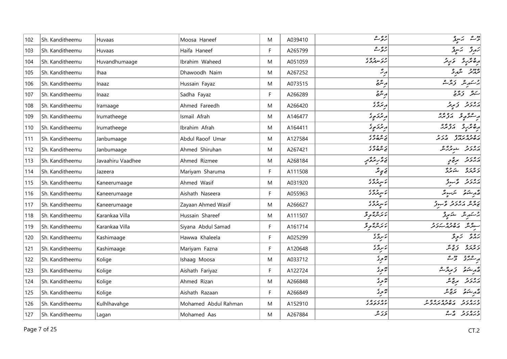| 102 | Sh. Kanditheemu | Huvaas            | Moosa Haneef         | M | A039410 | ر پۇ شە                                       | اتز مشتر<br>برسوه                                                           |
|-----|-----------------|-------------------|----------------------|---|---------|-----------------------------------------------|-----------------------------------------------------------------------------|
| 103 | Sh. Kanditheemu | Huvaas            | Haifa Haneef         | E | A265799 | ر پۇ ب                                        | تەرىخ                                                                       |
| 104 | Sh. Kanditheemu | Huvandhumaage     | Ibrahim Waheed       | M | A051059 | و ر<br>ره سربرو د                             | رەپزېرە<br>ءَ ٻريمر                                                         |
| 105 | Sh. Kanditheemu | <b>Ihaa</b>       | Dhawoodh Naim        | M | A267252 | ويح                                           | پر دو و<br>تو پر تو<br>سَمَد ژ                                              |
| 106 | Sh. Kanditheemu | Inaaz             | Hussain Fayaz        | M | A073515 | وبثنج                                         | برستهرش ترترع                                                               |
| 107 | Sh. Kanditheemu | Inaaz             | Sadha Fayaz          | F | A266289 | وبثنج                                         | سنوش ترڅرخ                                                                  |
| 108 | Sh. Kanditheemu | Iramaage          | Ahmed Fareedh        | M | A266420 | ر بر بر بر<br>د برگر د                        | برەرو كەيدۇر                                                                |
| 109 | Sh. Kanditheemu | Irumatheege       | Ismail Afrah         | M | A146477 | ېر بر دې د په<br>ر                            | ג פיצה ב ג'ו דיר                                                            |
| 110 | Sh. Kanditheemu | Irumatheege       | Ibrahim Afrah        | M | A164411 | وبردوء                                        |                                                                             |
| 111 | Sh. Kanditheemu | Janbumaage        | Abdul Raoof Umar     | M | A127584 | ر ه و و »<br>قع سره و د                       | ر ه و ه ر دده<br>پره تربر تربر تر<br>و ر د<br>در د بر                       |
| 112 | Sh. Kanditheemu | Janbumaage        | Ahmed Shiruhan       | M | A267421 | ر ه د د »<br>ق سره تر د                       | رەرد ھەر <i>ۇش</i>                                                          |
| 113 | Sh. Kanditheemu | Javaahiru Vaadhee | Ahmed Rizmee         | M | A268184 | ىز قرىر قەمر<br>سىر ئىسىمىسى                  | ر ه ر د<br>پر ژوگر<br>ىرچ <sub>حي</sub>                                     |
| 114 | Sh. Kanditheemu | Jazeera           | Mariyam Sharuma      | F | A111508 | ر<br>يح مي مگر                                | شە ئەرگ<br>ر ه ر ه<br><del>د</del> بربرگ                                    |
| 115 | Sh. Kanditheemu | Kaneerumaage      | Ahmed Wasif          | M | A031920 | ر سرچري<br>پاسپېټرنۍ                          | أرەر ئۇجۇ                                                                   |
| 116 | Sh. Kanditheemu | Kaneerumaage      | Aishath Naseera      | F | A055963 | اپر سرچر <del>ي</del><br>سرچر <sub>چر</sub> ي | قەرشكى ئىكرىسى ئىكر                                                         |
| 117 | Sh. Kanditheemu | Kaneerumaage      | Zayaan Ahmed Wasif   | M | A266627 | ىز سرچرى<br>مەس <sub>ى</sub> پرىرى            |                                                                             |
| 118 | Sh. Kanditheemu | Karankaa Villa    | Hussain Shareef      | M | A111507 | ر<br>ئائىرىدىن <sub>ھو</sub> ىتى              | چە سەر ھەر ئىكە بورى                                                        |
| 119 | Sh. Kanditheemu | Karankaa Villa    | Siyana Abdul Samad   | F | A161714 | ئەئەر ئەرگە                                   | ر دی ده وه در د<br>سودگر در هنرو سوونر                                      |
| 120 | Sh. Kanditheemu | Kashimaage        | Hawwa Khaleela       | F | A025299 | ر<br>ما موتری                                 | رَهِ زَرِدً                                                                 |
| 121 | Sh. Kanditheemu | Kashimaage        | Mariyam Fazna        | F | A120648 | ر<br>ماسرچۍ                                   | ر ه ر ه<br><del>د</del> بربرگ<br>ز نا پژ                                    |
| 122 | Sh. Kanditheemu | Kolige            | Ishaag Moosa         | M | A033712 | بو<br>مامور                                   | ر مشرقی اور م                                                               |
| 123 | Sh. Kanditheemu | Kolige            | Aishath Fariyaz      | F | A122724 | پر<br>مذمری                                   | أقهر مشوه ومرتزعه                                                           |
| 124 | Sh. Kanditheemu | Kolige            | Ahmed Rizan          | M | A266848 | بو<br>مونو                                    | גפני תוצים                                                                  |
| 125 | Sh. Kanditheemu | Kolige            | Aishath Razaan       | F | A266849 | بو<br>ماھرى                                   | و<br><i>مار</i> ىشكى ئىرىمى                                                 |
| 126 | Sh. Kanditheemu | Kulhlhavahge      | Mohamed Abdul Rahman | M | A152910 | و ه ر ر ه ،<br>ما پر نو پر ی                  | و ر ه ر و<br>و ژ پر <del>و</del> تر<br>ر ٥ د ٥ د ٥ د و<br>پرې تر پر تر تر س |
| 127 | Sh. Kanditheemu | Lagan             | Mohamed Aas          | M | A267884 | ىر رە<br>مۇيەنتىر                             | و ر ه ر د<br>تر پر تر تر                                                    |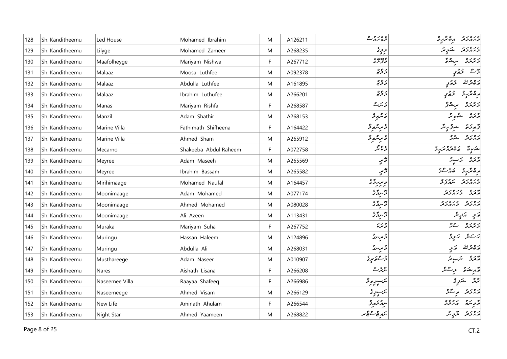| 128 | Sh. Kanditheemu | Led House      | Mohamed Ibrahim       | M           | A126211 | <sup>ى 2</sup> ىر ئەر                 | ڔۿؠڒڔۮ<br>و پر و پر و<br>تر <i>پر پ</i> ر تر |
|-----|-----------------|----------------|-----------------------|-------------|---------|---------------------------------------|----------------------------------------------|
| 129 | Sh. Kanditheemu | Lilyge         | Mohamed Zameer        | M           | A268235 | مومود<br>ري                           | و ره ر و<br><i>د ټ</i> رو تر<br>سەھ پر       |
| 130 | Sh. Kanditheemu | Maafolheyge    | Mariyam Nishwa        | F           | A267712 | ه پرن ،<br><del>د</del> تر د د        | سرشوگر<br>ر ه بر ه<br>تر بر بر               |
| 131 | Sh. Kanditheemu | Malaaz         | Moosa Luthfee         | M           | A092378 | ترڅي                                  | ورميحه<br>ترجمي                              |
| 132 | Sh. Kanditheemu | Malaaz         | Abdulla Luthfee       | M           | A161895 | ترڅې                                  | ەھىراللە<br>ترجمي                            |
| 133 | Sh. Kanditheemu | Malaaz         | Ibrahim Luthufee      | M           | A266201 | ترثوه                                 | ەر ھەتمەر 2<br>ر<br>ترجمي                    |
| 134 | Sh. Kanditheemu | Manas          | Mariyam Rishfa        | F           | A268587 | ى ئىر مىشە                            | وبروره<br>ىرىشۇ<br>ب                         |
| 135 | Sh. Kanditheemu | Manzil         | Adam Shathir          | M           | A268153 | ئەش <sub>ىر</sub> ۋ                   | پور ہ<br>پر تعری<br>مشهج تتر                 |
| 136 | Sh. Kanditheemu | Marine Villa   | Fathimath Shifheena   | F           | A164422 | ۇبرىئرو ۋ                             | و پر د<br>ىنىدۇر بەگە<br>س                   |
| 137 | Sh. Kanditheemu | Marine Villa   | Ahmed Sham            | M           | A265912 | ۇ <sub>مرى</sub> تر <sub>ىر</sub> ئە  | پروژبر<br>ستذر                               |
| 138 | Sh. Kanditheemu | Mecarno        | Shakeeba Abdul Raheem | F           | A072758 | ى پە ص                                | ر ه و ه د ر ه<br>پره تربر تر<br>شەرەتە       |
| 139 | Sh. Kanditheemu | Meyree         | Adam Maseeh           | M           | A265569 | ي<br>حرمي                             | په ره<br>درگرو<br>ى سەير                     |
| 140 | Sh. Kanditheemu | Meyree         | Ibrahim Bassam        | M           | A265582 | ر<br>حرمي                             | 3.600<br>ەھ ئۈر ۋ                            |
| 141 | Sh. Kanditheemu | Mirihimaage    | Mohamed Naufal        | M           | A164457 | د برر د ؟<br>ر ر ر                    | ورەرو برورە<br><i>وبە</i> مەدىر شەن          |
| 142 | Sh. Kanditheemu | Moonimaage     | Adam Mohamed          | M           | A077174 | חי<br>ב"יקב"ב                         | و رە ر د<br>تر پر تر تر<br>په ره<br>درگرو    |
| 143 | Sh. Kanditheemu | Moonimaage     | Ahmed Mohamed         | M           | A080028 | חי<br>קייקבצ                          | و ره ر د<br>تر پر ژنر<br>ر ە ر د<br>م.رو تر  |
| 144 | Sh. Kanditheemu | Moonimaage     | Ali Azeen             | M           | A113431 | دو<br>وسرچر                           | أەكىي كەنىپىش                                |
| 145 | Sh. Kanditheemu | Muraka         | Mariyam Suha          | $\mathsf F$ | A267752 | ويرز                                  | ر ه ر ه<br><del>د</del> بربرگ<br>ستەنتە      |
| 146 | Sh. Kanditheemu | Muringu        | Hassan Haleem         | M           | A124896 | ژبر سر<br>                            | تاسكانلار الكافي                             |
| 147 | Sh. Kanditheemu | Muringu        | Abdulla Ali           | M           | A268031 | 3 برسرم                               | رە <del>د</del> الله مەر                     |
| 148 | Sh. Kanditheemu | Musthareege    | Adam Naseer           | M           | A010907 | و ص <sub>ور م</sub> ر ۽<br>حرڪوم پيري | أردره لترسونر                                |
| 149 | Sh. Kanditheemu | Nares          | Aishath Lisana        | $\mathsf F$ | A266208 | پرې ه                                 | قەرشىق بوشق                                  |
| 150 | Sh. Kanditheemu | Naseemee Villa | Raayaa Shafeeq        | F           | A266986 | ىئرسوچە بۇ                            | ريد دريج<br>مرگز شوړنو                       |
| 151 | Sh. Kanditheemu | Naseemeege     | Ahmed Visam           | M           | A266129 | مكرسور كا<br>كارانية المحمد           | أرور ويدو                                    |
| 152 | Sh. Kanditheemu | New Life       | Aminath Ahulam        | F           | A266544 | سرمز ځرمر ژ                           | أزويتهم أردوه                                |
| 153 | Sh. Kanditheemu | Night Star     | Ahmed Yaameen         | M           | A268822 | لتروغ شقح بر                          | دەر د پەر ئىلگى                              |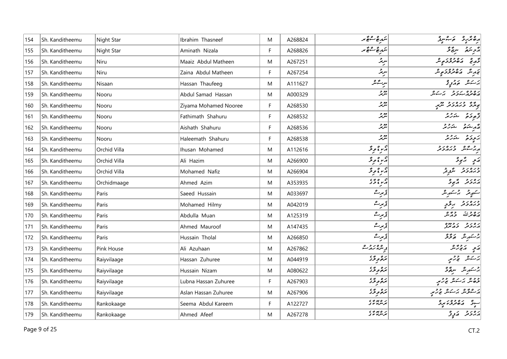| 154 | Sh. Kanditheemu | Night Star        | Ibrahim Thasneef      | M         | A268824 | سَمَدِ ڪَ حصَّ سَرِ                               |                                                                                                                                                                                                                                 |
|-----|-----------------|-------------------|-----------------------|-----------|---------|---------------------------------------------------|---------------------------------------------------------------------------------------------------------------------------------------------------------------------------------------------------------------------------------|
| 155 | Sh. Kanditheemu | Night Star        | Aminath Nizala        | F         | A268826 | التدء صفح                                         |                                                                                                                                                                                                                                 |
| 156 | Sh. Kanditheemu | l Niru            | Maaiz Abdul Matheen   | M         | A267251 | سرچر                                              | 747999                                                                                                                                                                                                                          |
| 157 | Sh. Kanditheemu | Niru              | Zaina Abdul Matheen   | F         | A267254 | سرچر                                              | ىم مىگە مەھەر دە مى                                                                                                                                                                                                             |
| 158 | Sh. Kanditheemu | Nisaan            | Hassan Thaufeeg       | ${\sf M}$ | A111627 | اسریٹریٹر<br>پ                                    | بركستهش تورقم ويح                                                                                                                                                                                                               |
| 159 | Sh. Kanditheemu | Nooru             | Abdul Samad Hassan    | M         | A000329 | دو و<br>سرپر                                      | رە دە بىر دېر كەنگ                                                                                                                                                                                                              |
| 160 | Sh. Kanditheemu | Nooru             | Ziyama Mohamed Nooree | F         | A268530 | دو و<br>سرپر                                      |                                                                                                                                                                                                                                 |
| 161 | Sh. Kanditheemu | Nooru             | Fathimath Shahuru     | F         | A268532 | دو د<br>سرپر                                      | قرجوحكم المشرور                                                                                                                                                                                                                 |
| 162 | Sh. Kanditheemu | Nooru             | Aishath Shahuru       | F         | A268536 | دو و<br>سرپر                                      | وكرمشكا والمحرار                                                                                                                                                                                                                |
| 163 | Sh. Kanditheemu | Nooru             | Haleemath Shahuru     | F         | A268538 | لترجر                                             | رَ پِرِ پِرِ دِ پِرِ پِرِ                                                                                                                                                                                                       |
| 164 | Sh. Kanditheemu | Orchid Villa      | Ihusan Mohamed        | M         | A112616 | ەر بە ئوقر                                        | در می دره در                                                                                                                                                                                                                    |
| 165 | Sh. Kanditheemu | Orchid Villa      | Ali Hazim             | M         | A266900 | ەر بە ئوقر                                        | أەسمج ستمبر ح                                                                                                                                                                                                                   |
| 166 | Sh. Kanditheemu | Orchid Villa      | Mohamed Nafiz         | M         | A266904 | لرموء وقر                                         | و ر ه ر و<br>تر پر ژ تر<br>سٌروِ قر                                                                                                                                                                                             |
| 167 | Sh. Kanditheemu | Orchidmaage       | Ahmed Azim            | M         | A353935 |                                                   | גפגב גון                                                                                                                                                                                                                        |
| 168 | Sh. Kanditheemu | Paris             | Saeed Hussain         | M         | A033697 | ۇ بىر مە                                          | سكھي تر سكھ بر                                                                                                                                                                                                                  |
| 169 | Sh. Kanditheemu | Paris             | Mohamed Hilmy         | ${\sf M}$ | A042019 | ې<br>بوسر م                                       | ورەرو برقو                                                                                                                                                                                                                      |
| 170 | Sh. Kanditheemu | Paris             | Abdulla Muan          | ${\sf M}$ | A125319 | ۇ بىر مە                                          | و پ <sub>ه ص</sub><br>ەھەراللە                                                                                                                                                                                                  |
| 171 | Sh. Kanditheemu | Paris             | Ahmed Mauroof         | M         | A147435 | ۇ بر م                                            | ג סג כ ג כ כ ס.<br>ג ג ב ב ג ב ב ג                                                                                                                                                                                              |
| 172 | Sh. Kanditheemu | Paris             | Hussain Tholal        | M         | A266850 | ۇ بىر مە                                          | جر شهر شهر پر تر د                                                                                                                                                                                                              |
| 173 | Sh. Kanditheemu | <b>Pink House</b> | Ali Azuhaan           | M         | A267862 | ابو عدد حدث                                       |                                                                                                                                                                                                                                 |
| 174 | Sh. Kanditheemu | Raiyvilaage       | Hassan Zuhuree        | M         | A044919 | ىرە ھەتىي<br>ئىرقۇمۇتى                            | بر کے مقرر اور جاتی ہے کہ اس کے ان کے ان کے ان کے ان کے ان کے ان کے ان کے ان کے ان کے ان کے ان کے ان کے ان کے<br>منابع کی کام کا کام کام کام کام کرنے کے ان کے ان کے ان کے ان کے ان کے مطابق کے باہر کے باہر کے باہر کے باہر کے |
| 175 | Sh. Kanditheemu | Raiyvilaage       | Hussain Nizam         | M         | A080622 | بره و پر ،<br>مر <sub>حو</sub> مونځو <sub>ک</sub> | جر سكر مثل المريح و                                                                                                                                                                                                             |
| 176 | Sh. Kanditheemu | Raiyvilaage       | Lubna Hassan Zuhuree  | F         | A267903 | ره<br>بر <sub>گ</sub> ورځۍ                        | وقصر بركس ودبر                                                                                                                                                                                                                  |
| 177 | Sh. Kanditheemu | Raiyvilaage       | Aslan Hassan Zuhuree  | ${\sf M}$ | A267906 | ره<br>بر <sub>گ</sub> ورځۍ                        | ر موګو بر سومل پر جمعه                                                                                                                                                                                                          |
| 178 | Sh. Kanditheemu | Rankokaage        | Seema Abdul Kareem    | F         | A122727 | ر ۵ پر پر<br>برس مر                               | سوځ د ځاندون پرو                                                                                                                                                                                                                |
| 179 | Sh. Kanditheemu | Rankokaage        | Ahmed Afeef           | M         | A267278 | ر ٥ پر د ٠<br>بر سربر ر د                         | أرور وكرو                                                                                                                                                                                                                       |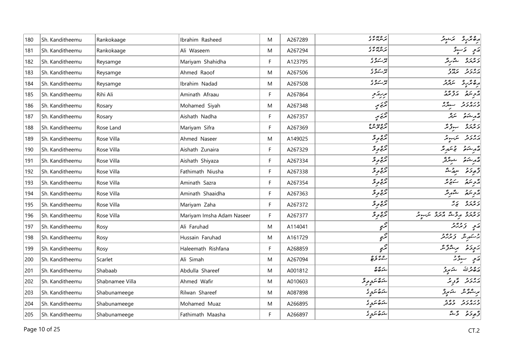| 180 | Sh. Kanditheemu | Rankokaage      | Ibrahim Rasheed           | M           | A267289 | ر ٥ پر <u>دی</u><br>بر سربر رک                                         | رەپزرې<br>ىمەسىيەتىر<br>ئە                                                                                                                                                                                                                                                                                                                                                                                                                                                     |
|-----|-----------------|-----------------|---------------------------|-------------|---------|------------------------------------------------------------------------|--------------------------------------------------------------------------------------------------------------------------------------------------------------------------------------------------------------------------------------------------------------------------------------------------------------------------------------------------------------------------------------------------------------------------------------------------------------------------------|
| 181 | Sh. Kanditheemu | Rankokaage      | Ali Waseem                | M           | A267294 | ر ٥ پر د ٥<br>برس را ر                                                 | ړې وَ ده                                                                                                                                                                                                                                                                                                                                                                                                                                                                       |
| 182 | Sh. Kanditheemu | Reysamge        | Mariyam Shahidha          | F           | A123795 | در ره د<br>مرسکو د                                                     | $rac{1}{2}$<br>ستەرىتر                                                                                                                                                                                                                                                                                                                                                                                                                                                         |
| 183 | Sh. Kanditheemu | Reysamge        | Ahmed Raoof               | M           | A267506 | ەر بەرە بى<br>ئىرسىنىۋى                                                | ر دو د<br>بورو تو<br>ر 2 ر 1<br>م.رو تر                                                                                                                                                                                                                                                                                                                                                                                                                                        |
| 184 | Sh. Kanditheemu | Reysamge        | Ibrahim Nadad             | M           | A267508 | ەر بەرە بى<br>ئىرسىنىۋى                                                | ە ھەترىرى<br>رەھترىرى<br>ر پر و<br>سربر تر                                                                                                                                                                                                                                                                                                                                                                                                                                     |
| 185 | Sh. Kanditheemu | Rihi Ali        | Aminath Afraau            | F           | A267864 | ىرىر ەكىر<br>ئەر                                                       | و ده ده ده د                                                                                                                                                                                                                                                                                                                                                                                                                                                                   |
| 186 | Sh. Kanditheemu | Rosary          | Mohamed Siyah             | M           | A267348 | ص پر<br>تنزیج سمپر                                                     | سىدۇر<br>و ر ه ر و<br><i>و پر ډ</i> ېر                                                                                                                                                                                                                                                                                                                                                                                                                                         |
| 187 | Sh. Kanditheemu | Rosary          | Aishath Nadha             | $\mathsf F$ | A267357 | ہ<br>تنزیح سمبر                                                        | مەرىشى ئىر<br>مەرىشى ئىر                                                                                                                                                                                                                                                                                                                                                                                                                                                       |
| 188 | Sh. Kanditheemu | Rose Land       | Mariyam Sifra             | F           | A267369 | ە ە يە ھ<br>مەمى مۇسى                                                  | وحدو بدوند                                                                                                                                                                                                                                                                                                                                                                                                                                                                     |
| 189 | Sh. Kanditheemu | Rose Villa      | Ahmed Naseer              | M           | A149025 | جرج وقر                                                                | رەرو ئەسبەر                                                                                                                                                                                                                                                                                                                                                                                                                                                                    |
| 190 | Sh. Kanditheemu | Rose Villa      | Aishath Zunaira           | F           | A267329 | ە ە ھ<br>ئىرىج ھ <sub>ۇ</sub> قتى                                      | ومرشو ومتعر                                                                                                                                                                                                                                                                                                                                                                                                                                                                    |
| 191 | Sh. Kanditheemu | Rose Villa      | Aishath Shiyaza           | F           | A267334 | ترجوقر                                                                 | و د کرده د شورگرفرگر<br>در کار مسیح میکن                                                                                                                                                                                                                                                                                                                                                                                                                                       |
| 192 | Sh. Kanditheemu | Rose Villa      | Fathimath Niusha          | F           | A267338 | ترجوقر                                                                 | و دو سميد                                                                                                                                                                                                                                                                                                                                                                                                                                                                      |
| 193 | Sh. Kanditheemu | Rose Villa      | Aminath Sazra             | $\mathsf F$ | A267354 | ە ە ھ <sub>ە</sub> ئە                                                  | سە يەنتىر<br>ۇ جە ئىدە                                                                                                                                                                                                                                                                                                                                                                                                                                                         |
| 194 | Sh. Kanditheemu | Rose Villa      | Aminath Shaaidha          | $\mathsf F$ | A267363 | ە ە<br>ئىرىنى ھ <sub>ە</sub> مىر                                       | أأزجر سكرو المحمر فكر                                                                                                                                                                                                                                                                                                                                                                                                                                                          |
| 195 | Sh. Kanditheemu | Rose Villa      | Mariyam Zaha              | F           | A267372 | 2 <sub>ص</sub> ح حرمحہ                                                 | נפנם ני                                                                                                                                                                                                                                                                                                                                                                                                                                                                        |
| 196 | Sh. Kanditheemu | Rose Villa      | Mariyam Imsha Adam Naseer | $\mathsf F$ | A267377 | ترجوقر                                                                 | ו פנים וכל היום ואירות                                                                                                                                                                                                                                                                                                                                                                                                                                                         |
| 197 | Sh. Kanditheemu | Rosy            | Ali Faruhad               | M           | A114041 | $\overline{\mathbf{r}^2}$                                              | أەيمن و و د و                                                                                                                                                                                                                                                                                                                                                                                                                                                                  |
| 198 | Sh. Kanditheemu | Rosy            | Hussain Faruhad           | M           | A161729 | $\overline{\mathcal{S}}$ يجم                                           | و مسکور میں اور دیا دیا ہے۔<br>مرگز میں اور اس کا کارکن کی ک                                                                                                                                                                                                                                                                                                                                                                                                                   |
| 199 | Sh. Kanditheemu | Rosy            | Haleemath Rishfana        | F           | A268859 | ان<br>ممبر                                                             | ر<br>رودة برشوش                                                                                                                                                                                                                                                                                                                                                                                                                                                                |
| 200 | Sh. Kanditheemu | Scarlet         | Ali Simah                 | M           | A267094 | بدءه                                                                   | $\begin{array}{cc} \mathbf{1}_{\mathbf{1}_{\mathbf{1}}} & \mathbf{1}_{\mathbf{1}_{\mathbf{1}}} \\ \mathbf{1}_{\mathbf{1}_{\mathbf{1}}} & \mathbf{1}_{\mathbf{1}_{\mathbf{1}}} \\ \mathbf{1}_{\mathbf{1}_{\mathbf{1}}} & \mathbf{1}_{\mathbf{1}_{\mathbf{1}}} \\ \mathbf{1}_{\mathbf{1}_{\mathbf{1}}} & \mathbf{1}_{\mathbf{1}_{\mathbf{1}}} \\ \mathbf{1}_{\mathbf{1}_{\mathbf{1}}} & \mathbf{1}_{\mathbf{1}_{\mathbf{1}}} \\ \mathbf{1}_{\mathbf{1}_{\mathbf{1}}} & \mathbf{$ |
| 201 | Sh. Kanditheemu | Shabaab         | Abdulla Shareef           | M           | A001812 | $\overset{\circ}{\circ} \overset{\circ}{\circ} \overset{\circ}{\cdot}$ | رە قراللە ھەمرىر                                                                                                                                                                                                                                                                                                                                                                                                                                                               |
| 202 | Sh. Kanditheemu | Shabnamee Villa | Ahmed Wafir               | M           | A010603 | شۇھ ئىزىرە ئى                                                          | أزود و و و بر                                                                                                                                                                                                                                                                                                                                                                                                                                                                  |
| 203 | Sh. Kanditheemu | Shabunameege    | Rilwan Shareef            | M           | A087898 | ے ک <i>ے سرح ک</i>                                                     | ىر شەھ شەيرۇ                                                                                                                                                                                                                                                                                                                                                                                                                                                                   |
| 204 | Sh. Kanditheemu | Shabunameege    | Mohamed Muaz              | M           | A266895 | شەھ سرىيە ئى                                                           | و ره ر و<br><i>و پر</i> و تر<br>و پر و<br>تر <i>وگ</i> ر                                                                                                                                                                                                                                                                                                                                                                                                                       |
| 205 | Sh. Kanditheemu | Shabunameege    | Fathimath Maasha          | F           | A266897 | شكە ئىكرىپ كى                                                          | توجدة ومشق                                                                                                                                                                                                                                                                                                                                                                                                                                                                     |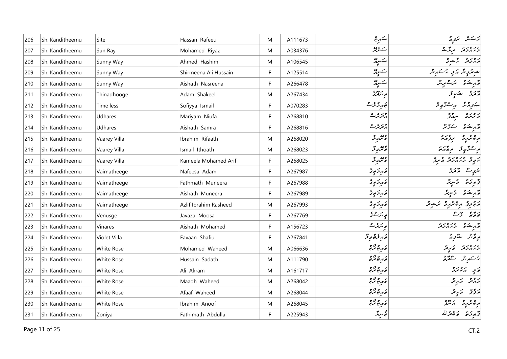| 206 | Sh. Kanditheemu | Site              | Hassan Rafeeu         | M  | A111673 | سكورة                                       | يرسكانلار   مركز إلى الم                       |
|-----|-----------------|-------------------|-----------------------|----|---------|---------------------------------------------|------------------------------------------------|
| 207 | Sh. Kanditheemu | Sun Ray           | Mohamed Riyaz         | M  | A034376 | يەھ يىر                                     | ورەرو بروگ                                     |
| 208 | Sh. Kanditheemu | Sunny Way         | Ahmed Hashim          | M  | A106545 | سە يېڭە                                     | رەرد گىندۇ                                     |
| 209 | Sh. Kanditheemu | Sunny Way         | Shirmeena Ali Hussain | F. | A125514 | سەمبەھ                                      | جوهر په شو رقم شور شو                          |
| 210 | Sh. Kanditheemu | Sunny Way         | Aishath Nasreena      | F. | A266478 | سەمبەھ                                      | ر<br>مەرخۇ سىرچىرىش                            |
| 211 | Sh. Kanditheemu | Thinadhooge       | Adam Shakeel          | M  | A267434 | پر دو ء<br>ح <sub>و</sub> سربر <sub>ک</sub> | وره خديده                                      |
| 212 | Sh. Kanditheemu | Time less         | Sofiyya Ismail        | F  | A070283 | ى <i>جەد 5 بى</i> ر مى                      | بنومه مستؤمده                                  |
| 213 | Sh. Kanditheemu | Udhares           | Mariyam Niufa         | F  | A268810 | ج پر ۽ ه<br>مرتعر ڪ                         | במתכ תגן                                       |
| 214 | Sh. Kanditheemu | Udhares           | Aishath Samra         | F  | A268816 | د ر ، م<br>مرتد بر م                        | لأويشكو<br>سەۋىتى                              |
| 215 | Sh. Kanditheemu | Vaarey Villa      | Ibrahim Rifaath       | M  | A268020 | ۇيمۇقە                                      | תפתוכ תנהפ                                     |
| 216 | Sh. Kanditheemu | Vaarey Villa      | Ismail Ithoath        | M  | A268023 | ۇ ئەھ بۇ                                    |                                                |
| 217 | Sh. Kanditheemu | Vaarey Villa      | Kameela Mohamed Arif  | F. | A268025 | ء بر<br>حر مرحر محر                         | ו כנסנב בית היו                                |
| 218 | Sh. Kanditheemu | Vaimatheege       | Nafeesa Adam          | F. | A267987 | ئەر ئەم <sub>ۇ</sub> ئ                      | سَمَدٍ — " اگر ترده                            |
| 219 | Sh. Kanditheemu | Vaimatheege       | Fathmath Muneera      | F  | A267988 | ر<br>د رد د د                               | ۇيودۇ دېپىر                                    |
| 220 | Sh. Kanditheemu | Vaimatheege       | Aishath Muneera       | F  | A267989 | وَرِدَمٍ وَ                                 | وكرمشكم وسير                                   |
| 221 | Sh. Kanditheemu | Vaimatheege       | Azlif Ibrahim Rasheed | M  | A267993 | ر<br>قەرقىمى<br>ئ                           |                                                |
| 222 | Sh. Kanditheemu | Venusge           | Javaza Moosa          | F  | A267769 | ەپە ئىرگە ئ                                 | ر پر پر<br>تع تو سخ<br>درميم                   |
| 223 | Sh. Kanditheemu | Vinares           | Aishath Mohamed       | F  | A156723 | <sub>حو</sub> سَر پر م                      | و رە ر د<br><i>د بر</i> گرىز<br>و در شو د<br>م |
| 224 | Sh. Kanditheemu | Violet Villa      | Eavaan Shafiu         | F. | A267841 | ءَ ٻر ڦو هو ڦر                              | ړ څکر شوړ د                                    |
| 225 | Sh. Kanditheemu | White Rose        | Mohamed Waheed        | M  | A066636 |                                             | ورەرو رىر                                      |
| 226 | Sh. Kanditheemu | White Rose        | Hussain Sadath        | M  | A111790 | ر وه ه<br>وړځ نرنځ                          | چرىسى ھەم 25%.<br>پرىسكىرىش سىقر <i>ە</i>      |
| 227 | Sh. Kanditheemu | <b>White Rose</b> | Ali Akram             | M  | A161717 |                                             |                                                |
| 228 | Sh. Kanditheemu | <b>White Rose</b> | Maadh Waheed          | M  | A268042 |                                             | دود وړتر                                       |
| 229 | Sh. Kanditheemu | White Rose        | Afaaf Waheed          | M  | A268044 |                                             | بر بو ه<br>مرتو تو<br>ءَ ٻريمر                 |
| 230 | Sh. Kanditheemu | White Rose        | Ibrahim Anoof         | M  | A268045 |                                             | ەرھەترىر <sup>ە</sup><br>بر دوه<br>در سربی     |
| 231 | Sh. Kanditheemu | Zoniya            | Fathimath Abdulla     | F. | A225943 | ج سرچ<br>م                                  | قرجوحه وكالله                                  |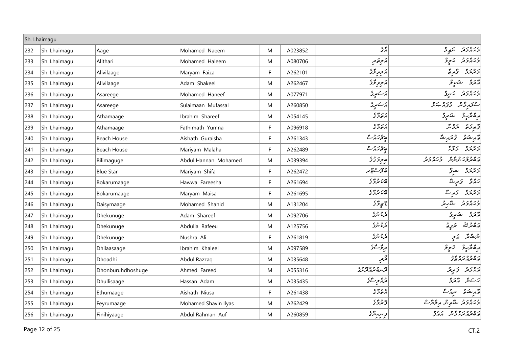|     | Sh. Lhaimagu |                    |                      |    |         |                                              |                                                            |
|-----|--------------|--------------------|----------------------|----|---------|----------------------------------------------|------------------------------------------------------------|
| 232 | Sh. Lhaimagu | Aage               | Mohamed Naeem        | M  | A023852 | پر ی                                         | و ره ر و<br><i>و ټ</i> رگر تر<br>سَمدِرٌ                   |
| 233 | Sh. Lhaimagu | Alithari           | Mohamed Haleem       | M  | A080706 | وكمترهوسر                                    | و رە ر د<br>تر پر تر تر                                    |
| 234 | Sh. Lhaimagu | Alivilaage         | Maryam Faiza         | F. | A262101 | ر<br>د نړه د د                               | تٌر بر بحُ<br>ر ه بر ه<br><del>د</del> بربر ژ              |
| 235 | Sh. Lhaimagu | Alivilaage         | Adam Shakeel         | M  | A262467 | ر<br>د موجود د                               | پژره<br>د ترو<br>شەر بى                                    |
| 236 | Sh. Lhaimagu | Asareege           | Mohamed Haneef       | M  | A077971 | ېز سه پېړۍ<br>په                             | ورەرو برس                                                  |
| 237 | Sh. Lhaimagu | Asareege           | Sulaimaan Mufassal   | M  | A260850 | ېر که مېږي<br>په                             | جۇمۇھە دۇم. بۇ                                             |
| 238 | Sh. Lhaimagu | Athamaage          | Ibrahim Shareef      | M  | A054145 | ر ر د »<br>پره <del>و</del> و                | رەنزىر شىر                                                 |
| 239 | Sh. Lhaimagu | Athamaage          | Fathimath Yumna      | F  | A096918 | ر ر د »<br>پره <del>و</del> و                | و ده ده و                                                  |
| 240 | Sh. Lhaimagu | <b>Beach House</b> | Aishath Guraisha     | F  | A261343 | ھەممەر 2                                     | م و الله عليه الله عنه الله عنه                            |
| 241 | Sh. Lhaimagu | <b>Beach House</b> | Mariyam Malaha       | F  | A262489 | ە ئەزەر م                                    | رەرە رەپ<br><i>دى</i> رىرى كەنز                            |
| 242 | Sh. Lhaimagu | Bilimaguge         | Abdul Hannan Mohamed | M  | A039394 | ه د د د ،<br>ر                               | و رە ر د<br>تر پروتر<br>ر ه وه ر ه رو .<br>پرې ترمربر سربس |
| 243 | Sh. Lhaimagu | <b>Blue Star</b>   | Mariyam Shifa        | F  | A262472 | ەددە ئەير                                    | ر ه ر ه<br><del>ر</del> بربرگ<br>سندوگر                    |
| 244 | Sh. Lhaimagu | Bokarumaage        | Hawwa Fareesha       | F  | A261694 | پر ر د د د<br>  خان مرگ                      | برە ئەرىئە                                                 |
| 245 | Sh. Lhaimagu | Bokarumaage        | Maryam Maisa         | F  | A261695 | بر ر د د »<br>۱۳۵ مرد د                      | رەرە رەت                                                   |
| 246 | Sh. Lhaimagu | Daisymaage         | Mohamed Shahid       | M  | A131204 | پر سپر می<br>  پاسم سپر سپر                  | و رە ر د<br>تر پر تر تر<br>ستەرىر                          |
| 247 | Sh. Lhaimagu | Dhekunuge          | Adam Shareef         | M  | A092706 | ړ <i>د</i> د ›<br>تر را سربۍ                 | ے موق<br>پژره<br>د ترو                                     |
| 248 | Sh. Lhaimagu | Dhekunuge          | Abdulla Rafeeu       | M  | A125756 | ء و و ء<br>تور سری                           | وحدالله                                                    |
| 249 | Sh. Lhaimagu | Dhekunuge          | Nushra Ali           | F  | A261819 | ړ <i>د</i> د ›<br>تر را سربۍ                 | پرېشمنگ اوکمني                                             |
| 250 | Sh. Lhaimagu | Dhilaasaage        | Ibrahim Khaleel      | M  | A097589 | ەرگۇرىچى                                     | رەپرىۋە ئېچى                                               |
| 251 | Sh. Lhaimagu | Dhoadhi            | Abdul Razzaq         | M  | A035648 | ە<br>توتىر                                   | ر ه وه ره د و<br>پره تر <i>مرد</i> نځ                      |
| 252 | Sh. Lhaimagu | Dhonburuhdhoshuge  | Ahmed Fareed         | M  | A055316 | پو سر و و ه پو و ء<br>ترسرچ <i>بو</i> پر ترس | أزورو ويرتز                                                |
| 253 | Sh. Lhaimagu | Dhullisaage        | Hassan Adam          | M  | A035435 | وه پر پ <sup>ه پ</sup> ه                     | برَسكا مركزة                                               |
| 254 | Sh. Lhaimagu | Ethumaage          | Aishath Niusa        | F  | A261438 | ې د د »<br>د پوڅ د                           | وأوسفكم سوقمته                                             |
| 255 | Sh. Lhaimagu | Feyrumaage         | Mohamed Shavin Ilyas | M  | A262429 |                                              | دره د د په عرص د ورو ه<br>د برمرد تر څو شر مرمرم           |
| 256 | Sh. Lhaimagu | Finihiyaage        | Abdul Rahman Auf     | M  | A260859 | او سور پر دی<br><u>ا</u> ر س                 | ره ده ره ده مدده<br>مصرم پربر شهر                          |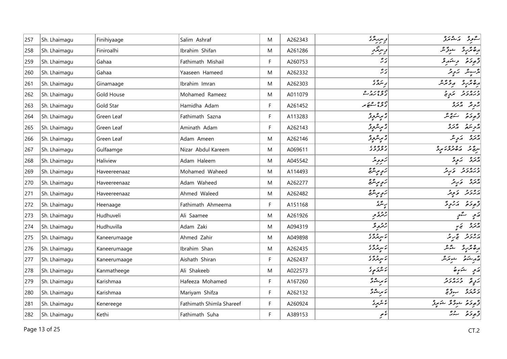| 257 | Sh. Lhaimagu | Finihiyaage  | Salim Ashraf             | M  | A262343 | و سربر پر د<br>بر سربر دی                    | سەمەد<br>ېز شه ترو                                                                                                                                                                                                              |
|-----|--------------|--------------|--------------------------|----|---------|----------------------------------------------|---------------------------------------------------------------------------------------------------------------------------------------------------------------------------------------------------------------------------------|
| 258 | Sh. Lhaimagu | Finiroalhi   | Ibrahim Shifan           | M  | A261286 | وسرچمو                                       | ە ھەترىرى<br>مەھىرىرى<br>ے وگر مگر<br>مر                                                                                                                                                                                        |
| 259 | Sh. Lhaimagu | Gahaa        | Fathimath Mishail        | F. | A260753 | ىزچ                                          | $rac{1}{2}$<br>$rac{1}{2}$<br>ويحكمرقر                                                                                                                                                                                          |
| 260 | Sh. Lhaimagu | Gahaa        | Yaaseen Hameed           | M  | A262332 | ىزچ                                          | ېژىپ يە<br>ئە<br>برًوتر                                                                                                                                                                                                         |
| 261 | Sh. Lhaimagu | Ginamaage    | Ibrahim Imran            | M  | A262303 | ىر شرچە<br>تر                                | دە ئەرە<br>ەر ئەھر                                                                                                                                                                                                              |
| 262 | Sh. Lhaimagu | Gold House   | Mohamed Rameez           | M  | A011079 | ە ە ە رېږ ھ<br>ئىمى ئەمەرىشە                 | כנסנכ בבי                                                                                                                                                                                                                       |
| 263 | Sh. Lhaimagu | Gold Star    | Hamidha Adam             | F  | A261452 | ە ە ە ە مەر<br>ئەخرى سىزى <i>غ</i> بىر       | يُروتُر مُرور                                                                                                                                                                                                                   |
| 264 | Sh. Lhaimagu | Green Leaf   | Fathimath Sazna          | F  | A113283 | ە بېرى <sub>نى</sub> رىۋ                     | سە چە ئىگر<br>ءُ <sub>جو</sub> رَ ۾                                                                                                                                                                                             |
| 265 | Sh. Lhaimagu | Green Leaf   | Aminath Adam             | F  | A262143 | ە بېرىرىپور<br>ئ                             | أأروسهم<br>پژو                                                                                                                                                                                                                  |
| 266 | Sh. Lhaimagu | Green Leaf   | Adam Ameen               | M  | A262146 | ە بېرىرىپور<br>ئ                             | پور ہ<br>پر تعری<br>مزحر مثر                                                                                                                                                                                                    |
| 267 | Sh. Lhaimagu | Gulfaamge    | Nizar Abdul Kareem       | M  | A069611 | وه پوه ،<br>د <del>و</del> تو <del>و</del> د |                                                                                                                                                                                                                                 |
| 268 | Sh. Lhaimagu | Haliview     | Adam Haleem              | M  | A045542 | ائروه پژ<br>ڪيپر                             | أوره برود                                                                                                                                                                                                                       |
| 269 | Sh. Lhaimagu | Haveereenaaz | Mohamed Waheed           | M  | A114493 | ئە <sub>ھە</sub> بىر ئىرى<br>ئىسىمە          | ورەر دىر د                                                                                                                                                                                                                      |
| 270 | Sh. Lhaimagu | Haveereenaaz | Adam Waheed              | M  | A262277 | ر<br>ئە <sub>ۋ</sub> بىرىترى                 | پر ده کر در در در در در استان کردند که در استان کردند که در استان کردند که در این کار در این کار در این کار در<br>در این کار در این کار در این کار در این کار در این کار در این کار در این کار در این کار در این کار در این کار |
| 271 | Sh. Lhaimagu | Haveereenaaz | Ahmed Waleed             | M  | A262482 | ئە <sub>ھە</sub> بىر ئ <sup>ىرى</sup> ج      | پروتر کردی                                                                                                                                                                                                                      |
| 272 | Sh. Lhaimagu | Heenaage     | Fathimath Ahmeema        | F  | A151168 | ر پٿري<br>په                                 | توجوخو أرزوق                                                                                                                                                                                                                    |
| 273 | Sh. Lhaimagu | Hudhuveli    | Ali Saamee               | M  | A261926 | و و ،<br>رتوڅ م                              | ړې شو.                                                                                                                                                                                                                          |
| 274 | Sh. Lhaimagu | Hudhuvilla   | Adam Zaki                | M  | A094319 | 2تر <sub>ی</sub> موگر                        | $rac{2}{3}$<br>$\check{\epsilon}$                                                                                                                                                                                               |
| 275 | Sh. Lhaimagu | Kaneerumaage | Ahmed Zahir              | M  | A049898 | ر<br>مأسو پر ژی                              | پچ په چې<br>پره پر و                                                                                                                                                                                                            |
| 276 | Sh. Lhaimagu | Kaneerumaage | Ibrahim Shan             | M  | A262435 | ر سرچوي<br>موهر دي                           | ىشەھر<br>ە ھەترىرى<br>بر ھەترىرى                                                                                                                                                                                                |
| 277 | Sh. Lhaimagu | Kaneerumaage | Aishath Shiran           | F  | A262437 | ئەسپەترىچ ئى                                 | و<br>وگرځو ځونکر                                                                                                                                                                                                                |
| 278 | Sh. Lhaimagu | Kanmatheege  | Ali Shakeeb              | M  | A022573 | ر ه ر<br>پاسر <sub>چرمو</sub> ر              |                                                                                                                                                                                                                                 |
| 279 | Sh. Lhaimagu | Karishmaa    | Hafeeza Mohamed          | F. | A167260 | ىكە ئىرىشەدى<br>م                            | بر و پ <sup>چ</sup> و<br>و ره ر د<br>تر پر ژنر                                                                                                                                                                                  |
| 280 | Sh. Lhaimagu | Karishmaa    | Mariyam Shifza           | F. | A262132 | ئە <sub>مو</sub> رشۇ ئە                      | ر ه ر ه<br>سبودنج                                                                                                                                                                                                               |
| 281 | Sh. Lhaimagu | Kenereege    | Fathimath Shimla Shareef | F  | A260924 | ى<br>ئەمىرىيە ئە                             | ۇۋەق جوڭ خىمرۇ                                                                                                                                                                                                                  |
| 282 | Sh. Lhaimagu | Kethi        | Fathimath Suha           | F  | A389153 | تنمعج                                        | $\frac{2}{2}$ $\frac{2}{2}$ $\frac{2}{2}$                                                                                                                                                                                       |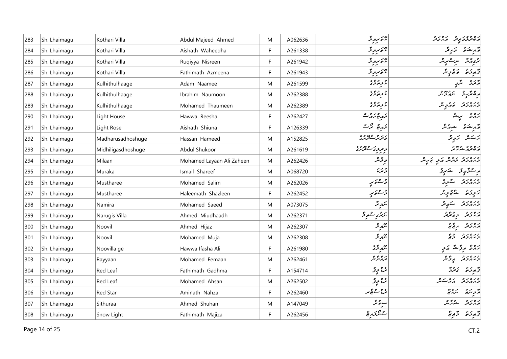| 283 | Sh. Lhaimagu | Kothari Villa      | Abdul Majeed Ahmed        | Μ           | A062636 | پرېم پره څه                               | ره وه د د د در و<br>مەھىر دىج تر كەبرى      |
|-----|--------------|--------------------|---------------------------|-------------|---------|-------------------------------------------|---------------------------------------------|
| 284 | Sh. Lhaimagu | Kothari Villa      | Aishath Waheedha          | F           | A261338 | لائر برو ژُ                               | مەر شىمى ئۇيەتر                             |
| 285 | Sh. Lhaimagu | Kothari Villa      | Rugiyya Nisreen           | F           | A261942 | ىدىر<br>ئامۇمرەر ئى                       | د وه د سرگور مر                             |
| 286 | Sh. Lhaimagu | Kothari Villa      | Fathimath Azmeena         | F           | A261943 | لتمقو مرعرقحه                             | ر ه نو پر<br>و مر د<br>ترجو حم              |
| 287 | Sh. Lhaimagu | Kulhithulhaage     | Adam Naamee               | Μ           | A261599 | د په دود و<br>  ما موځونو د               | أوره شمي                                    |
| 288 | Sh. Lhaimagu | Kulhithulhaage     | Ibrahim Naumoon           | M           | A262388 | د - د وير<br>ما موجونو د                  | پر وود ه<br>سرمر چینل<br>ەر ھەترىر <i>3</i> |
| 289 | Sh. Lhaimagu | Kulhithulhaage     | Mohamed Thaumeen          | M           | A262389 | د - د وي<br>ما موجود د                    | כנסגב גבים                                  |
| 290 | Sh. Lhaimagu | Light House        | Hawwa Reesha              | $\mathsf F$ | A262427 | خەرقە ئەرمىسى                             | رەم پېش                                     |
| 291 | Sh. Lhaimagu | Light Rose         | Aishath Shiuna            | F.          | A126339 | كجرم هم محرك                              | د<br>د م شوقه شور ش                         |
| 292 | Sh. Lhaimagu | Madharusadhoshuge  | Hassan Hameed             | M           | A152825 | ر ر و پرو د ،<br>وتربر گورىر              | يزڪش پر پاڻ                                 |
| 293 | Sh. Lhaimagu | Midhiligasdhoshuge | Abdul Shukoor             | M           | A261619 | ا د در و بر د د د ه<br>ار در و د مدر در د | ره وه و دو و<br>پره توپه شونډ تر            |
| 294 | Sh. Lhaimagu | Milaan             | Mohamed Layaan Ali Zaheen | Μ           | A262426 | احِدَّةَ ِ                                | ورەر د كەرگە كەي كار ش                      |
| 295 | Sh. Lhaimagu | Muraka             | Ismail Shareef            | M           | A068720 | ويرز                                      | ر شۇر ئىي ئى                                |
| 296 | Sh. Lhaimagu | Mustharee          | Mohamed Salim             | M           | A262026 | د ص <sub>وت</sub> مبر<br>م                | ورەرو ئوۋ                                   |
| 297 | Sh. Lhaimagu | Mustharee          | Haleemath Shazleen        | F           | A262452 | چە ھەمبە<br>ج                             | رَ پِرِ پِرِ کَمَ پِر مِر                   |
| 298 | Sh. Lhaimagu | Namira             | Mohamed Saeed             | M           | A073075 | يتزجر                                     | ورەرو سەرو                                  |
| 299 | Sh. Lhaimagu | Narugis Villa      | Ahmed Miudhaadh           | M           | A262371 | ىئرىز <sub>ىر</sub> سىموقە                | ر ه ر د په در د و د                         |
| 300 | Sh. Lhaimagu | Noovil             | Ahmed Hijaz               | M           | A262307 | يتر <sub>عر</sub> قر                      | رەر ئەقتى                                   |
| 301 | Sh. Lhaimagu | Noovil             | Mohamed Muja              | M           | A262308 | يتروعه                                    | ورەر دە                                     |
| 302 | Sh. Lhaimagu | Noovilla ge        | Hawwa Ifasha Ali          | F.          | A261980 | دد په په<br>سرع څه                        | پروژ او ژاپی او دید                         |
| 303 | Sh. Lhaimagu | Rayyaan            | Mohamed Eemaan            | Μ           | A262461 | بره پر مر                                 |                                             |
| 304 | Sh. Lhaimagu | Red Leaf           | Fathimath Gadhma          | F           | A154714 | ې ه بور<br>مرغ موثر                       | و دو دوو                                    |
| 305 | Sh. Lhaimagu | Red Leaf           | Mohamed Ahsan             | M           | A262502 | ه ه و و<br>مره موثر                       | ورەرو رەكش                                  |
| 306 | Sh. Lhaimagu | Red Star           | Aminath Nahza             | F.          | A262460 | ي ۾ هءِ <i>پي</i> ر                       | أأروبتهم بترريخ                             |
| 307 | Sh. Lhaimagu | Sithuraa           | Ahmed Shuhan              | Μ           | A147049 | سوە ئىگە<br>س                             | پروژبر<br>شۇر ئىر                           |
| 308 | Sh. Lhaimagu | Snow Light         | Fathimath Majiza          | F           | A262456 | يتمرزره                                   | وٌجِ حَرَمٌ وَ حَيْ حَ                      |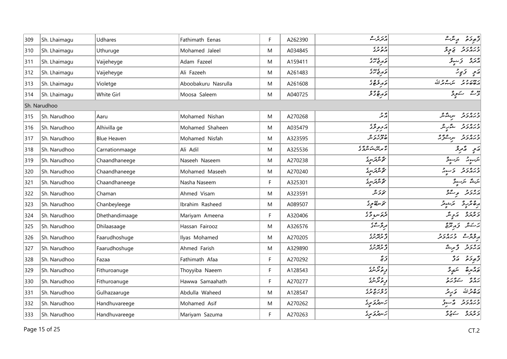| 309 | Sh. Lhaimagu | Udhares            | Fathimath Eenas     | F           | A262390 | د ر ، م<br>مرتد بر م                                       | أؤودة بالرام                                                                                                                                                                                                                        |
|-----|--------------|--------------------|---------------------|-------------|---------|------------------------------------------------------------|-------------------------------------------------------------------------------------------------------------------------------------------------------------------------------------------------------------------------------------|
| 310 | Sh. Lhaimagu | Uthuruge           | Mohamed Jaleel      | ${\sf M}$   | A034845 | د د د پ<br>پره مرد                                         | ورەرو يې دو                                                                                                                                                                                                                         |
| 311 | Sh. Lhaimagu | Vaijeheyge         | Adam Fazeel         | M           | A159411 | ر<br>ود ورد                                                | أرتره تخسيقى                                                                                                                                                                                                                        |
| 312 | Sh. Lhaimagu | Vaijeheyge         | Ali Fazeeh          | M           | A261483 | ر<br>ح د مع ر د                                            | أەسمج وسي تر                                                                                                                                                                                                                        |
| 313 | Sh. Lhaimagu | Violetge           | Aboobakuru Nasrulla | M           | A261608 | ر<br>ومرموج د                                              | بترجيحه الله<br>נ בב ג ב ב<br>גם סיט זק                                                                                                                                                                                             |
| 314 | Sh. Lhaimagu | White Girl         | Moosa Saleem        | ${\sf M}$   | A040725 | ر موء و و<br>مربع و م                                      | اژ مئی منظر پر شخص میں منظر میں ان کے مناسب میں تاہیں کے مناسک میں ان کے مناسک میں ان کے مناسک میں ان<br>مناسب میں مناسب میں مناسب میں ان کے مناسب میں ان کے مناسب میں ان کے مناسب میں کامی کے مناسب میں ان کے مناسب می<br>ان کے من |
|     | Sh. Narudhoo |                    |                     |             |         |                                                            |                                                                                                                                                                                                                                     |
| 315 | Sh. Narudhoo | Aaru               | Mohamed Nishan      | M           | A270268 | پو بر<br>د بر                                              | و ره ر د<br>تر پر ژنگر<br>سرڪرشر                                                                                                                                                                                                    |
| 316 | Sh. Narudhoo | Alhivilla ge       | Mohamed Shaheen     | M           | A035479 | ەكمەرە ئەتى                                                | ورەرو شەرش                                                                                                                                                                                                                          |
| 317 | Sh. Narudhoo | <b>Blue Heaven</b> | Mohamed Nisfah      | M           | A323595 | و دو ، ر ه<br>ن <i>ه مو ر</i> هر                           | سرڪوڻو<br>و ر ه ر و<br>تر پر تر تر                                                                                                                                                                                                  |
| 318 | Sh. Narudhoo | Carnationmaage     | Ali Adil            | ${\sf M}$   | A325536 | ر<br>ما برېتون مرد د                                       | پَنجِ کُرُفرِ حُرْ                                                                                                                                                                                                                  |
| 319 | Sh. Narudhoo | Chaandhaneege      | Naseeh Naseem       | M           | A270238 | ى<br>ئۇسرىرىي <sub>رى</sub>                                | يتزييد<br>سرَسوڤر                                                                                                                                                                                                                   |
| 320 | Sh. Narudhoo | Chaandhaneege      | Mohamed Maseeh      | M           | A270240 | ۇ ھ <sub>ە</sub> ترىپ <sub>ى</sub>                         | ورەرو رىد                                                                                                                                                                                                                           |
| 321 | Sh. Narudhoo | Chaandhaneege      | Nasha Naseem        | $\mathsf F$ | A325301 | ىچە ئىرتى <i>ر ئىر</i> ىد                                  | سَرَسَةٌ    سَرَسِيرْ وَ                                                                                                                                                                                                            |
| 322 | Sh. Narudhoo | Chaman             | Ahmed Visam         | ${\sf M}$   | A323591 | ىمەر ھ                                                     | دەر د موسكى                                                                                                                                                                                                                         |
| 323 | Sh. Narudhoo | Chanbeyleege       | Ibrahim Rasheed     | ${\sf M}$   | A089507 | ىمەستەم تەر<br>ئ                                           | رەپرى كەشىر<br>رەپرىي كەشىر                                                                                                                                                                                                         |
| 324 | Sh. Narudhoo | Dhethandimaage     | Mariyam Ameena      | F           | A320406 | ې ئەھەمبە ئ <sup>ى</sup> رى<br>قىرقۇسىيە ئ <sup>ى</sup> رى | دەرە مەر                                                                                                                                                                                                                            |
| 325 | Sh. Narudhoo | Dhilaasaage        | Hassan Fairooz      | ${\sf M}$   | A326576 | دىر ئۇسىگى<br>ب                                            | پرستور توربریج                                                                                                                                                                                                                      |
| 326 | Sh. Narudhoo | Faarudhoshuge      | Ilyas Mohamed       | ${\sf M}$   | A270205 | بر ویر و ،<br>تو برتر ر                                    | أروش ورەرو                                                                                                                                                                                                                          |
| 327 | Sh. Narudhoo | Faarudhoshuge      | Ahmed Farish        | M           | A329890 | ه ویو و ،<br>تو برتر تر پ                                  | أرەر ئى ئى                                                                                                                                                                                                                          |
| 328 | Sh. Narudhoo | Fazaa              | Fathimath Afaa      | $\mathsf F$ | A270292 | ترتج                                                       | وً و دو گرو                                                                                                                                                                                                                         |
| 329 | Sh. Narudhoo | Fithuroanuge       | Thoyyiba Naeem      | $\mathsf F$ | A128543 | و ۵ و ۷<br>و ه مرس                                         | ره مرهٔ<br>ج <sup>و</sup> مرهٔ<br>ستعرفر                                                                                                                                                                                            |
| 330 | Sh. Narudhoo | Fithuroanuge       | Hawwa Samaahath     | F           | A270277 | وه چرمړۍ<br>  په ټرسرۍ                                     | سەۋر ۋ<br>ر ه بو<br>بربرغ                                                                                                                                                                                                           |
| 331 | Sh. Narudhoo | Gulhazaaruge       | Abdulla Waheed      | ${\sf M}$   | A128547 | و ه ر پر و ،<br>د نورنځ برو                                | أَرْجُعْرَاللَّهُ كَدَبِهِ مَرْ                                                                                                                                                                                                     |
| 332 | Sh. Narudhoo | Handhuvareege      | Mohamed Asif        | M           | A270262 | ر سروگر <sub>مو</sub> کا                                   | و ر ه ر و<br>تر پر تر تر                                                                                                                                                                                                            |
| 333 | Sh. Narudhoo | Handhuvareege      | Mariyam Sazuma      | F           | A270263 | ئەس <i>ەقرى م</i> ېرىتى                                    | ره ره دو                                                                                                                                                                                                                            |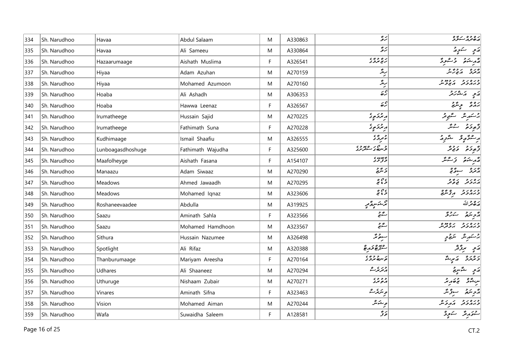| 334 | Sh. Narudhoo | Havaa             | Abdul Salaam      | M  | A330863 | رپچ                                                 | رە دە بەرە<br>مەھىرە سىۋى                              |
|-----|--------------|-------------------|-------------------|----|---------|-----------------------------------------------------|--------------------------------------------------------|
| 335 | Sh. Narudhoo | Havaa             | Ali Sameeu        | M  | A330864 | رپچ                                                 | ړې خوړ                                                 |
| 336 | Sh. Narudhoo | Hazaarumaage      | Aishath Muslima   | F. | A326541 | ر ۶ و ۶ ی<br>تریخ بوری                              | ۇرىشى ئەسرگ                                            |
| 337 | Sh. Narudhoo | Hiyaa             | Adam Azuhan       | M  | A270159 | ىرىتر                                               | وره دووير                                              |
| 338 | Sh. Narudhoo | Hiyaa             | Mohamed Azumoon   | M  | A270160 | ىرىتر                                               | כנסנכ נפיכ<br>כגמכת האבית                              |
| 339 | Sh. Narudhoo | Hoaba             | Ali Ashadh        | M  | A306353 | برچ                                                 | أقدمي المرشور وراقر                                    |
| 340 | Sh. Narudhoo | Hoaba             | Hawwa Leenaz      | F  | A326567 | رُهَ                                                |                                                        |
| 341 | Sh. Narudhoo | Irumatheege       | Hussain Sajid     | M  | A270225 | ېر پر دې د<br>ر                                     | بر سور شور گروگر<br>بر سور شور گروگر<br>گروگروگر شورگر |
| 342 | Sh. Narudhoo | Irumatheege       | Fathimath Suna    | F  | A270228 | ېر پر دې<br>پر پر دې                                |                                                        |
| 343 | Sh. Narudhoo | Kudhimaage        | Ismail Shaafiu    | M  | A326555 | د و دی<br>ما تورد د                                 | بر شۇم ئى ھەر                                          |
| 344 | Sh. Narudhoo | Lunboagasdhoshuge | Fathimath Wajudha | F. | A325600 | و سے رے پر و ۽<br>موسي <i>ھ ي</i> اسيو <i>س</i> ر   | $rac{25}{x^2}$ $rac{25}{x^2}$                          |
| 345 | Sh. Narudhoo | Maafolheyge       | Aishath Fasana    | F  | A154107 | ه مورد د<br><del>رگ</del> تو بو بر                  | ۇرىشقى زىشتر                                           |
| 346 | Sh. Narudhoo | Manaazu           | Adam Siwaaz       | M  | A270290 | ىر شرح                                              | وره سوځ و<br>مرمرد سوځ                                 |
| 347 | Sh. Narudhoo | Meadows           | Ahmed Jawaadh     | M  | A270295 | $\overset{o}{\varepsilon} \overset{c}{\varepsilon}$ | رەر د رود<br>مەرومىي ئى                                |
| 348 | Sh. Narudhoo | <b>Meadows</b>    | Mohamed Iqnaz     | M  | A323606 | $\overset{o}{\varepsilon} \overset{c}{\varepsilon}$ | ەر تۇ ئىرىج<br>و ر ه ر و<br>تر پر ژ تر                 |
| 349 | Sh. Narudhoo | Roshaneevaadee    | Abdulla           | M  | A319925 | ترىشە سرەگەر                                        | ەھىراللە                                               |
| 350 | Sh. Narudhoo | Saazu             | Aminath Sahla     | F  | A323566 | ستميح                                               | أوجو سيرونج                                            |
| 351 | Sh. Narudhoo | Saazu             | Mohamed Hamdhoon  | M  | A323567 | سەمىي                                               | وره رو ده دوه<br><i>و پرو</i> ونر برونرس               |
| 352 | Sh. Narudhoo | Sithura           | Hussain Nazumee   | M  | A326498 | سوە ئەتتە                                           | ير ڪرماهاڻ اسڪانو<br>م                                 |
| 353 | Sh. Narudhoo | Spotlight         | Ali Rifaz         | M  | A320388 | ەبرە ب <sub>رە</sub>                                | ړې برژنژ<br>دې برژنژ                                   |
| 354 | Sh. Narudhoo | Thanburumaage     | Mariyam Areesha   | F  | A270164 | ر د د پ                                             |                                                        |
| 355 | Sh. Narudhoo | <b>Udhares</b>    | Ali Shaaneez      | M  | A270294 | ج پر پ <sub>ے</sub> ہے                              |                                                        |
| 356 | Sh. Narudhoo | Uthuruge          | Nishaam Zubair    | M  | A270271 | د د د د<br>مرح برد                                  | $3.102$<br>$7.102$                                     |
| 357 | Sh. Narudhoo | Vinares           | Aminath Sifna     | F  | A323463 | ە ئىرىگە                                            | ۇ ئىرە ئىرە                                            |
| 358 | Sh. Narudhoo | Vision            | Mohamed Aiman     | M  | A270244 | امريتهقه                                            | و ر ه ر د<br>تر پر ژ تر<br>ىرىر ئە                     |
| 359 | Sh. Narudhoo | Wafa              | Suwaidha Saleem   | F. | A128581 | ءَڙ                                                 | شۇرىگە سەردۇ                                           |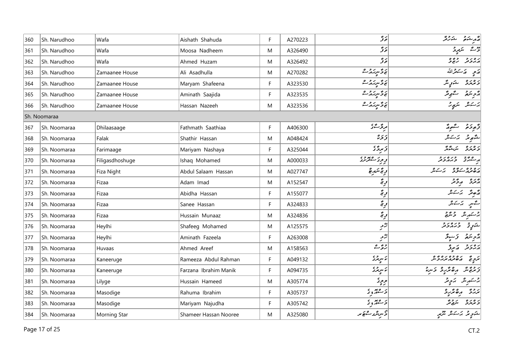| 360 | Sh. Narudhoo | Wafa            | Aishath Shahuda       | F           | A270223 | ء وٌ                               |                                                                                                                |
|-----|--------------|-----------------|-----------------------|-------------|---------|------------------------------------|----------------------------------------------------------------------------------------------------------------|
| 361 | Sh. Narudhoo | Wafa            | Moosa Nadheem         | M           | A326490 | ئەتى                               | ە مەشكەر ھەرقەتى<br>1970-يىلىن مەرقى                                                                           |
| 362 | Sh. Narudhoo | Wafa            | Ahmed Huzam           | M           | A326492 | ءَڙُ                               | - 225 - 225                                                                                                    |
| 363 | Sh. Narudhoo | Zamaanee House  | Ali Asadhulla         | M           | A270282 | ئ ۇ سرىر ئەشە                      | أَصَعِيهِ صَدَّقَتْدَاللَّهُ                                                                                   |
| 364 | Sh. Narudhoo | Zamaanee House  | Maryam Shafeena       | $\mathsf F$ | A323530 | ئ ۇ سرىر ۋى                        | رەرە شەرىگە                                                                                                    |
| 365 | Sh. Narudhoo | Zamaanee House  | Aminath Saajida       | $\mathsf F$ | A323535 | ىر ئ <sup>ې</sup> رىر ئەرگىسى<br>ئ | ۇ ئەسكە ئىستىمىتىگە                                                                                            |
| 366 | Sh. Narudhoo | Zamaanee House  | Hassan Nazeeh         | M           | A323536 | ئچ ئىرىر ئەرگە                     | يزكتش التزيار                                                                                                  |
|     | Sh. Noomaraa |                 |                       |             |         |                                    |                                                                                                                |
| 367 | Sh. Noomaraa | Dhilaasaage     | Fathmath Saathiaa     | $\mathsf F$ | A406300 | ىر ئۇ سەمى                         |                                                                                                                |
| 368 | Sh. Noomaraa | Falak           | Shathir Hassan        | M           | A048424 | ۇ ئە                               | و دور دارد.<br>دوره دارد.<br>شور دارد.                                                                         |
| 369 | Sh. Noomaraa | Farimaage       | Mariyam Nashaya       | F           | A325044 | <br>  تو مورش ی                    | رەرە برگە                                                                                                      |
| 370 | Sh. Noomaraa | Filigasdhoshuge | Ishaq Mohamed         | M           | A000033 | اړ پر روبو د د<br>ار پر روبورۍ     | و دره دره دره<br>در سرگان در دروند                                                                             |
| 371 | Sh. Noomaraa | Fiza Night      | Abdul Salaam Hassan   | M           | A027747 | وبخ يئرموه                         | رە دە رەە بەرە                                                                                                 |
| 372 | Sh. Noomaraa | Fizaa           | Adam Imad             | M           | A152547 | وپچ                                | أرود ورقو                                                                                                      |
| 373 | Sh. Noomaraa | Fizaa           | Abidha Hassan         | F           | A155077 | وپچ                                | أما في المركب من المركب المركب المركب المركب المركب المركب المركب المركب المركب المركب المركب المركب المركب ال |
| 374 | Sh. Noomaraa | Fizaa           | Sanee Hassan          | F           | A324833 | ويح                                | ستمسي   يرسكانكر                                                                                               |
| 375 | Sh. Noomaraa | Fizaa           | Hussain Munaaz        | M           | A324836 | ومجّ                               | بر کے مربعہ اور مربع                                                                                           |
| 376 | Sh. Noomaraa | Heylhi          | Shafeeg Mohamed       | M           | A125575 | ر<br> ئرعر                         | شَرِيْنَ - دَبَرُ مَرْدِ                                                                                       |
| 377 | Sh. Noomaraa | Heylhi          | Aminath Fazeela       | F           | A263008 | ەي<br>سىر                          | أزُوِسَمْ وَسَوِدٌ                                                                                             |
| 378 | Sh. Noomaraa | Huvaas          | Ahmed Areef           | M           | A158563 | ر پۇ شە                            | برەر ئەيرو                                                                                                     |
| 379 | Sh. Noomaraa | Kaneeruge       | Rameeza Abdul Rahman  | F           | A049132 | مَا سر پرې                         |                                                                                                                |
| 380 | Sh. Noomaraa | Kaneeruge       | Farzana Ibrahim Manik | F           | A094735 | ئە مېرىرى<br>ئ                     | ز دوم می به مورد د سره                                                                                         |
| 381 | Sh. Noomaraa | Lilyge          | Hussain Hameed        | M           | A305774 | مومور<br>ري                        | 2سكەر شەر كەنچە تەر                                                                                            |
| 382 | Sh. Noomaraa | Masodige        | Rahuma Ibrahim        | F           | A305737 | 5, 80, 5                           | پربری در ۱۵ پر د                                                                                               |
| 383 | Sh. Noomaraa | Masodige        | Mariyam Najudha       | F           | A305742 | ىر مەيدى<br>ئ                      | رەرە سەدە<br><i>جەيرى سەن</i> ق                                                                                |
| 384 | Sh. Noomaraa | Morning Star    | Shameer Hassan Nooree | M           | A325080 | ر<br>ئەسرىئرى س <sup>ە</sup> ھەس   | شَرَوٍ پُرْ بَرَ بَنَ بَرْبِرٍ                                                                                 |
|     |              |                 |                       |             |         |                                    |                                                                                                                |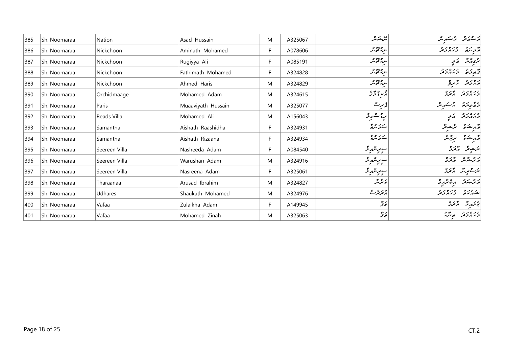| 385 | <b>Sh. Noomaraa</b> | Nation        | Asad Hussain       | M  | A325067 | ڛٛؽڛۯ                | برے پر تر شہر ش                        |
|-----|---------------------|---------------|--------------------|----|---------|----------------------|----------------------------------------|
| 386 | ISh. Noomaraa       | Nickchoon     | Aminath Mohamed    | F  | A078606 | سربر جو ص            | ورەر د<br><i>دى</i> رمەتر<br>ړ د سره   |
| 387 | <b>Sh. Noomaraa</b> | Nickchoon     | Rugiyya Ali        | F  | A085191 | سرەم دە              | برزورش كمام                            |
| 388 | <b>Sh. Noomaraa</b> | Nickchoon     | Fathimath Mohamed  | F. | A324828 | سربر محر شر          | و ره ر د<br>تر پروتر<br>ا تو بر د<br>ا |
| 389 | ISh. Noomaraa       | Nickchoon     | Ahmed Haris        | M  | A324829 | سرەم دەھ             | رەر ئەرھ                               |
| 390 | ISh. Noomaraa       | Orchidmaage   | Mohamed Adam       | M  | A324615 | م په وي د<br>مربوع څ | وره رو په ره<br><i>وبرو دو م</i> ترو   |
| 391 | Sh. Noomaraa        | Paris         | Muaaviyath Hussain | M  | A325077 | ۇ بر مە              | وه دو چې شر                            |
| 392 | ISh. Noomaraa       | Reads Villa   | Mohamed Ali        | M  | A156043 | ىيە ئەشھرىتى<br>ئە   | ورەرو كەي                              |
| 393 | Sh. Noomaraa        | Samantha      | Aishath Raashidha  | F. | A324931 | سەر ھەيج             | أمار مشكوهي المحر مشوقكر               |
| 394 | ISh. Noomaraa       | Samantha      | Aishath Rizaana    | F. | A324934 | سەئەر ھەتى           | لەر شىم ئىسى ئىر                       |
| 395 | <b>Sh. Noomaraa</b> | Seereen Villa | Nasheeda Adam      | F  | A084540 | سىمبە شەيەقە         | سَرَڪونَدُ - مُرَ تَرَ رَ              |
| 396 | Sh. Noomaraa        | Seereen Villa | Warushan Adam      | M  | A324916 | سېمبرىن <i>گو</i> گە | كرو محمد محمده                         |
| 397 | <b>Sh. Noomaraa</b> | Seereen Villa | Nasreena Adam      | F  | A325061 | سېمبرىن <i>گو</i> گە | بتر شمېرىنتى بەردە                     |
| 398 | <b>Sh. Noomaraa</b> | Tharaanaa     | Arusad Ibrahim     | M  | A324827 | ە ئەيۇ               | ג ב ג ב פיניב                          |
| 399 | Sh. Noomaraa        | Udhares       | Shaukath Mohamed   | M  | A324976 | د ر ، م<br>مرمرسه    | ر در دره دره<br>شهرین وبردونر          |
| 400 | Sh. Noomaraa        | Vafaa         | Zulaikha Adam      | F. | A149945 | ىرتى                 | چ ئخرم جح<br>ەگەترى                    |
| 401 | Sh. Noomaraa        | Vafaa         | Mohamed Zinah      | M  | A325063 | ىرگ                  | وره دو په شمه                          |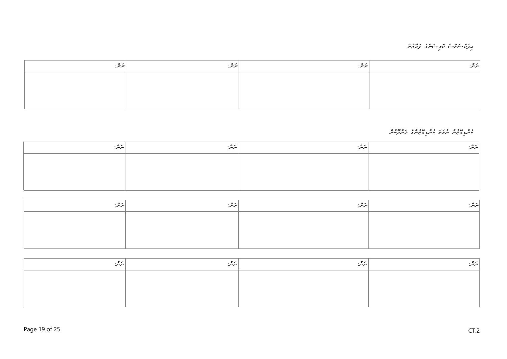## *w7qAn8m? sCw7mRo>u; wEw7mRw;sBo<*

| ' مرمر | 'يئرىثر: |
|--------|----------|
|        |          |
|        |          |
|        |          |

## *w7q9r@w7m> sCw7qHtFoFw7s; mAm=q7 w7qHtFoFw7s;*

| ىر تە | $\mathcal{O} \times$<br>$\sim$ | $\sim$<br>. . | لترنثر |
|-------|--------------------------------|---------------|--------|
|       |                                |               |        |
|       |                                |               |        |
|       |                                |               |        |

| يره | $^{\circ}$ | $\frac{2}{n}$ | $^{\circ}$<br>سرسر. |
|-----|------------|---------------|---------------------|
|     |            |               |                     |
|     |            |               |                     |
|     |            |               |                     |

| ىرتىر: | 。<br>سر سر | .,<br>مرسر |
|--------|------------|------------|
|        |            |            |
|        |            |            |
|        |            |            |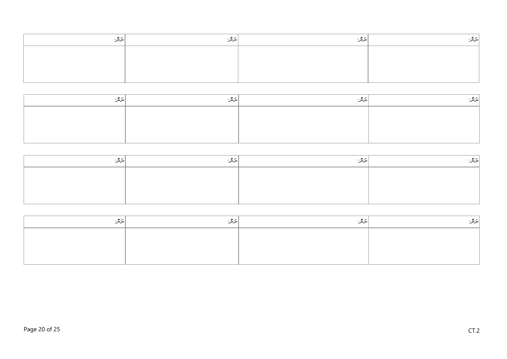| يزهر | $^{\circ}$ | ىئرىتر: |  |
|------|------------|---------|--|
|      |            |         |  |
|      |            |         |  |
|      |            |         |  |

| <sup>.</sup> سرسر. |  |
|--------------------|--|
|                    |  |
|                    |  |
|                    |  |

| ىئرىتر. | $\sim$ | ا بر هه. | لىرىش |
|---------|--------|----------|-------|
|         |        |          |       |
|         |        |          |       |
|         |        |          |       |

| 。<br>مرس. | $\overline{\phantom{a}}$<br>مر مىر | يتريثر |
|-----------|------------------------------------|--------|
|           |                                    |        |
|           |                                    |        |
|           |                                    |        |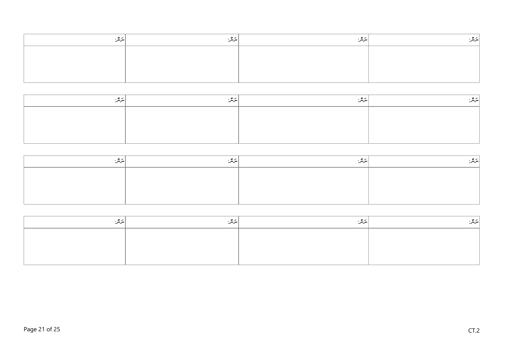| ير هو . | $\overline{\phantom{a}}$ | يرمر | اير هنه. |
|---------|--------------------------|------|----------|
|         |                          |      |          |
|         |                          |      |          |
|         |                          |      |          |

| ىر تىر: | $\circ$ $\sim$<br>" سرسر . | يبرحه | o . |
|---------|----------------------------|-------|-----|
|         |                            |       |     |
|         |                            |       |     |
|         |                            |       |     |

| 'تترنثر: | 。<br>,,,, |  |
|----------|-----------|--|
|          |           |  |
|          |           |  |
|          |           |  |

|  | . ه |
|--|-----|
|  |     |
|  |     |
|  |     |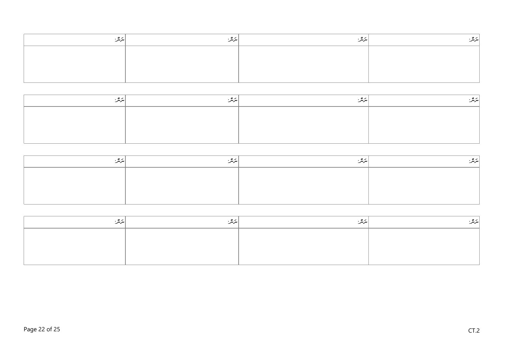| ير هو . | $\overline{\phantom{a}}$ | يرمر | اير هنه. |
|---------|--------------------------|------|----------|
|         |                          |      |          |
|         |                          |      |          |
|         |                          |      |          |

| ىبرىر. | $\sim$<br>ا سرسر . | يئرمثر | o . |
|--------|--------------------|--------|-----|
|        |                    |        |     |
|        |                    |        |     |
|        |                    |        |     |

| 'تترنثر: | ر ه |  |
|----------|-----|--|
|          |     |  |
|          |     |  |
|          |     |  |

|  | . ه |
|--|-----|
|  |     |
|  |     |
|  |     |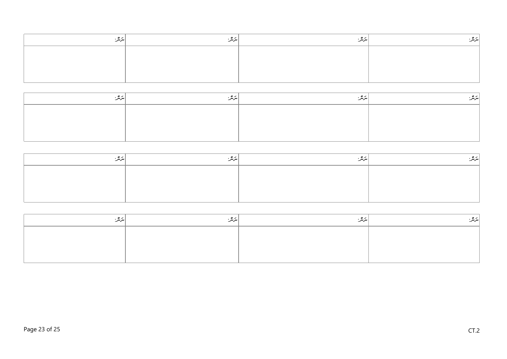| $\cdot$ | 。 | $\frac{\circ}{\cdot}$ | $\sim$<br>سرسر |
|---------|---|-----------------------|----------------|
|         |   |                       |                |
|         |   |                       |                |
|         |   |                       |                |

| يريثن | ' سرسر . |  |
|-------|----------|--|
|       |          |  |
|       |          |  |
|       |          |  |

| بر ه | . ه | $\sim$<br>سرسر |  |
|------|-----|----------------|--|
|      |     |                |  |
|      |     |                |  |
|      |     |                |  |

| 。<br>. س | ىرىىر |  |
|----------|-------|--|
|          |       |  |
|          |       |  |
|          |       |  |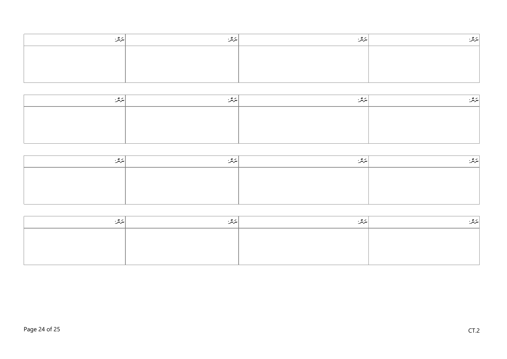| ير هو . | $\overline{\phantom{a}}$ | يرمر | اير هنه. |
|---------|--------------------------|------|----------|
|         |                          |      |          |
|         |                          |      |          |
|         |                          |      |          |

| ىبرىر. | $\sim$<br>ا سرسر . | يئرمثر | o . |
|--------|--------------------|--------|-----|
|        |                    |        |     |
|        |                    |        |     |
|        |                    |        |     |

| ابترىثر: | $\sim$<br>. . |  |
|----------|---------------|--|
|          |               |  |
|          |               |  |
|          |               |  |

|  | . ه |
|--|-----|
|  |     |
|  |     |
|  |     |